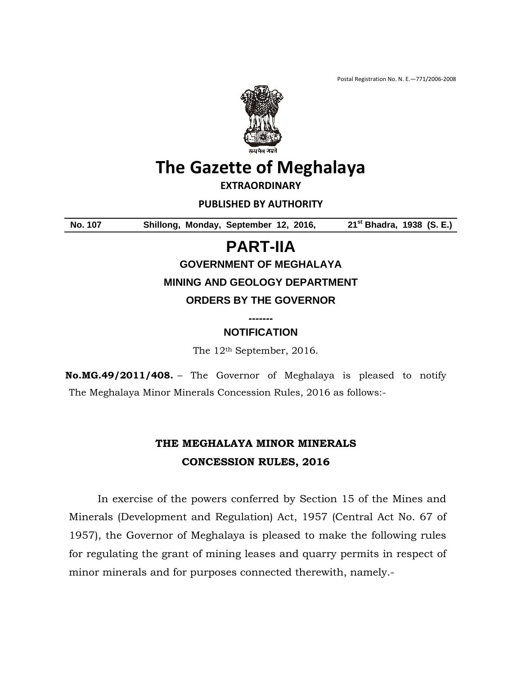Postal Registration No. N. E.—771/2006‐2008



# **The Gazette of Meghalaya**

**EXTRAORDINARY**

**PUBLISHED BY AUTHORITY**

 **No. 107 Shillong, Monday, September 12, 2016, 21st Bhadra, 1938 (S. E.)** 

## **PART-IIA**

## **GOVERNMENT OF MEGHALAYA**

**MINING AND GEOLOGY DEPARTMENT** 

**ORDERS BY THE GOVERNOR** 

## **------- NOTIFICATION**

The 12th September, 2016.

**No.MG.49/2011/408.** – The Governor of Meghalaya is pleased to notify The Meghalaya Minor Minerals Concession Rules, 2016 as follows:-

## **THE MEGHALAYA MINOR MINERALS CONCESSION RULES, 2016**

In exercise of the powers conferred by Section 15 of the Mines and Minerals (Development and Regulation) Act, 1957 (Central Act No. 67 of 1957), the Governor of Meghalaya is pleased to make the following rules for regulating the grant of mining leases and quarry permits in respect of minor minerals and for purposes connected therewith, namely.-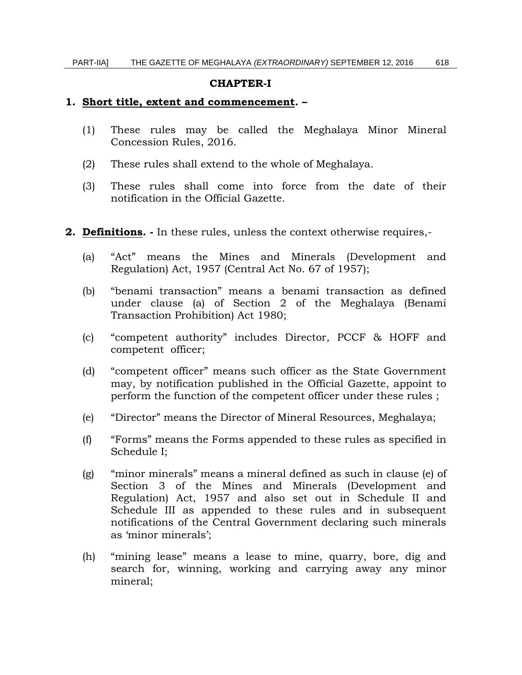#### **CHAPTER-I**

#### **1. Short title, extent and commencement. –**

- (1) These rules may be called the Meghalaya Minor Mineral Concession Rules, 2016.
- (2) These rules shall extend to the whole of Meghalaya.
- (3) These rules shall come into force from the date of their notification in the Official Gazette.
- **2. Definitions.** In these rules, unless the context otherwise requires,-
	- (a) "Act" means the Mines and Minerals (Development and Regulation) Act, 1957 (Central Act No. 67 of 1957);
	- (b) "benami transaction" means a benami transaction as defined under clause (a) of Section 2 of the Meghalaya (Benami Transaction Prohibition) Act 1980;
	- (c) "competent authority" includes Director, PCCF & HOFF and competent officer;
	- (d) "competent officer" means such officer as the State Government may, by notification published in the Official Gazette, appoint to perform the function of the competent officer under these rules ;
	- (e) "Director" means the Director of Mineral Resources, Meghalaya;
	- (f) "Forms" means the Forms appended to these rules as specified in Schedule I;
	- (g) "minor minerals" means a mineral defined as such in clause (e) of Section 3 of the Mines and Minerals (Development and Regulation) Act, 1957 and also set out in Schedule II and Schedule III as appended to these rules and in subsequent notifications of the Central Government declaring such minerals as 'minor minerals';
	- (h) "mining lease" means a lease to mine, quarry, bore, dig and search for, winning, working and carrying away any minor mineral;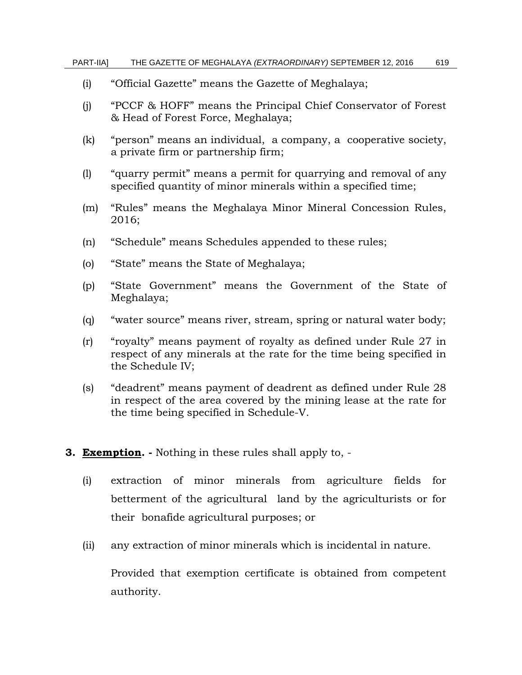- (i) "Official Gazette" means the Gazette of Meghalaya;
- (j) "PCCF & HOFF" means the Principal Chief Conservator of Forest & Head of Forest Force, Meghalaya;
- (k) "person" means an individual, a company, a cooperative society, a private firm or partnership firm;
- (l) "quarry permit" means a permit for quarrying and removal of any specified quantity of minor minerals within a specified time;
- (m) "Rules" means the Meghalaya Minor Mineral Concession Rules, 2016;
- (n) "Schedule" means Schedules appended to these rules;
- (o) "State" means the State of Meghalaya;
- (p) "State Government" means the Government of the State of Meghalaya;
- (q) "water source" means river, stream, spring or natural water body;
- (r) "royalty" means payment of royalty as defined under Rule 27 in respect of any minerals at the rate for the time being specified in the Schedule IV;
- (s) "deadrent" means payment of deadrent as defined under Rule 28 in respect of the area covered by the mining lease at the rate for the time being specified in Schedule-V.
- **3. Exemption. -** Nothing in these rules shall apply to,
	- (i) extraction of minor minerals from agriculture fields for betterment of the agricultural land by the agriculturists or for their bonafide agricultural purposes; or
	- (ii) any extraction of minor minerals which is incidental in nature.

 Provided that exemption certificate is obtained from competent authority.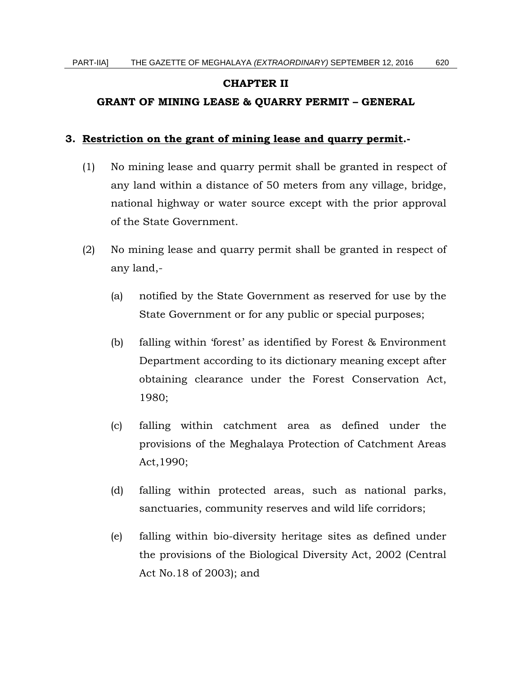#### **CHAPTER II**

#### **GRANT OF MINING LEASE & QUARRY PERMIT – GENERAL**

#### **3. Restriction on the grant of mining lease and quarry permit.-**

- (1) No mining lease and quarry permit shall be granted in respect of any land within a distance of 50 meters from any village, bridge, national highway or water source except with the prior approval of the State Government.
- (2) No mining lease and quarry permit shall be granted in respect of any land,-
	- (a) notified by the State Government as reserved for use by the State Government or for any public or special purposes;
	- (b) falling within 'forest' as identified by Forest & Environment Department according to its dictionary meaning except after obtaining clearance under the Forest Conservation Act, 1980;
	- (c) falling within catchment area as defined under the provisions of the Meghalaya Protection of Catchment Areas Act,1990;
	- (d) falling within protected areas, such as national parks, sanctuaries, community reserves and wild life corridors;
	- (e) falling within bio-diversity heritage sites as defined under the provisions of the Biological Diversity Act, 2002 (Central Act No.18 of 2003); and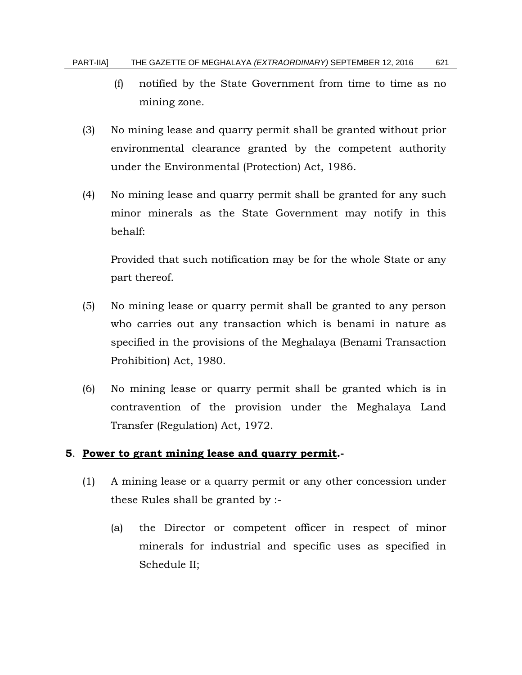- (f) notified by the State Government from time to time as no mining zone.
- (3) No mining lease and quarry permit shall be granted without prior environmental clearance granted by the competent authority under the Environmental (Protection) Act, 1986.
- (4) No mining lease and quarry permit shall be granted for any such minor minerals as the State Government may notify in this behalf:

 Provided that such notification may be for the whole State or any part thereof.

- (5) No mining lease or quarry permit shall be granted to any person who carries out any transaction which is benami in nature as specified in the provisions of the Meghalaya (Benami Transaction Prohibition) Act, 1980.
- (6) No mining lease or quarry permit shall be granted which is in contravention of the provision under the Meghalaya Land Transfer (Regulation) Act, 1972.

## **5**. **Power to grant mining lease and quarry permit.-**

- (1) A mining lease or a quarry permit or any other concession under these Rules shall be granted by :-
	- (a) the Director or competent officer in respect of minor minerals for industrial and specific uses as specified in Schedule II;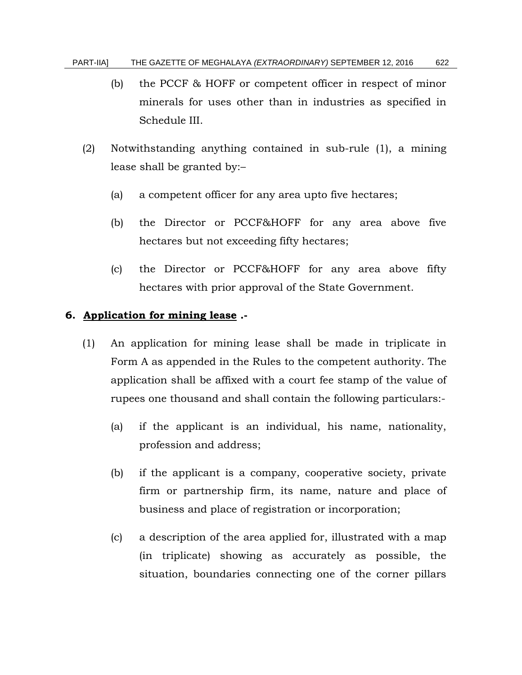- (b) the PCCF & HOFF or competent officer in respect of minor minerals for uses other than in industries as specified in Schedule III.
- (2) Notwithstanding anything contained in sub-rule (1), a mining lease shall be granted by:–
	- (a) a competent officer for any area upto five hectares;
	- (b) the Director or PCCF&HOFF for any area above five hectares but not exceeding fifty hectares;
	- (c) the Director or PCCF&HOFF for any area above fifty hectares with prior approval of the State Government.

## **6. Application for mining lease .-**

- (1) An application for mining lease shall be made in triplicate in Form A as appended in the Rules to the competent authority. The application shall be affixed with a court fee stamp of the value of rupees one thousand and shall contain the following particulars:-
	- (a) if the applicant is an individual, his name, nationality, profession and address;
	- (b) if the applicant is a company, cooperative society, private firm or partnership firm, its name, nature and place of business and place of registration or incorporation;
	- (c) a description of the area applied for, illustrated with a map (in triplicate) showing as accurately as possible, the situation, boundaries connecting one of the corner pillars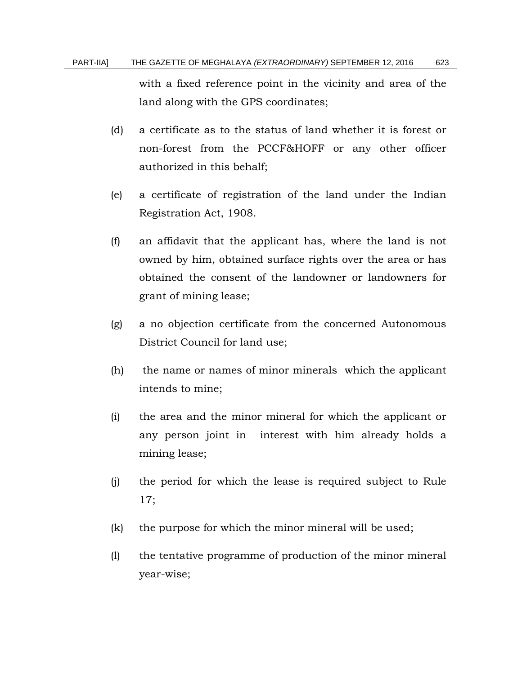#### PART-IIA] THE GAZETTE OF MEGHALAYA *(EXTRAORDINARY)* SEPTEMBER 12, 2016 623

with a fixed reference point in the vicinity and area of the land along with the GPS coordinates;

- (d) a certificate as to the status of land whether it is forest or non-forest from the PCCF&HOFF or any other officer authorized in this behalf;
- (e) a certificate of registration of the land under the Indian Registration Act, 1908.
- (f) an affidavit that the applicant has, where the land is not owned by him, obtained surface rights over the area or has obtained the consent of the landowner or landowners for grant of mining lease;
- (g) a no objection certificate from the concerned Autonomous District Council for land use;
- (h) the name or names of minor minerals which the applicant intends to mine;
- (i) the area and the minor mineral for which the applicant or any person joint in interest with him already holds a mining lease;
- (j) the period for which the lease is required subject to Rule 17;
- (k) the purpose for which the minor mineral will be used;
- (l) the tentative programme of production of the minor mineral year-wise;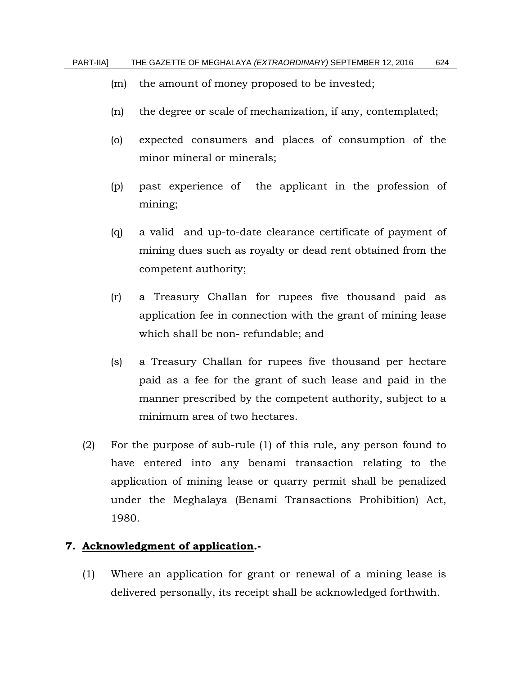- (m) the amount of money proposed to be invested;
- (n) the degree or scale of mechanization, if any, contemplated;
- (o) expected consumers and places of consumption of the minor mineral or minerals;
- (p) past experience of the applicant in the profession of mining;
- (q) a valid and up-to-date clearance certificate of payment of mining dues such as royalty or dead rent obtained from the competent authority;
- (r) a Treasury Challan for rupees five thousand paid as application fee in connection with the grant of mining lease which shall be non- refundable; and
- (s) a Treasury Challan for rupees five thousand per hectare paid as a fee for the grant of such lease and paid in the manner prescribed by the competent authority, subject to a minimum area of two hectares.
- (2) For the purpose of sub-rule (1) of this rule, any person found to have entered into any benami transaction relating to the application of mining lease or quarry permit shall be penalized under the Meghalaya (Benami Transactions Prohibition) Act, 1980.

## **7. Acknowledgment of application.-**

(1) Where an application for grant or renewal of a mining lease is delivered personally, its receipt shall be acknowledged forthwith.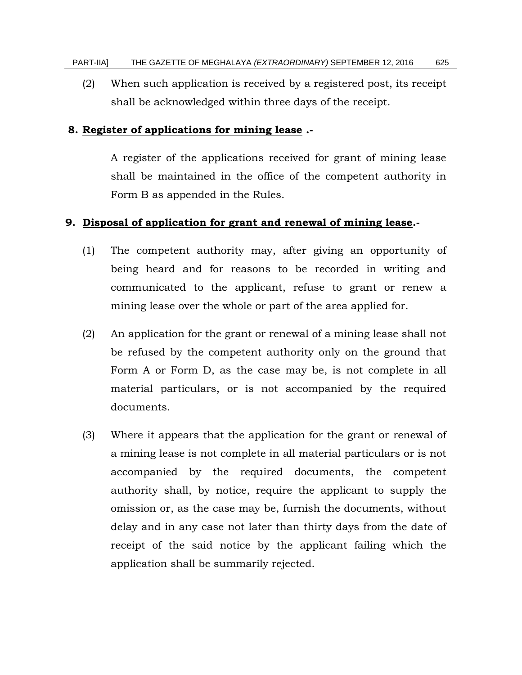(2) When such application is received by a registered post, its receipt shall be acknowledged within three days of the receipt.

## **8. Register of applications for mining lease .-**

A register of the applications received for grant of mining lease shall be maintained in the office of the competent authority in Form B as appended in the Rules.

## **9. Disposal of application for grant and renewal of mining lease.-**

- (1) The competent authority may, after giving an opportunity of being heard and for reasons to be recorded in writing and communicated to the applicant, refuse to grant or renew a mining lease over the whole or part of the area applied for.
- (2) An application for the grant or renewal of a mining lease shall not be refused by the competent authority only on the ground that Form A or Form D, as the case may be, is not complete in all material particulars, or is not accompanied by the required documents.
- (3) Where it appears that the application for the grant or renewal of a mining lease is not complete in all material particulars or is not accompanied by the required documents, the competent authority shall, by notice, require the applicant to supply the omission or, as the case may be, furnish the documents, without delay and in any case not later than thirty days from the date of receipt of the said notice by the applicant failing which the application shall be summarily rejected.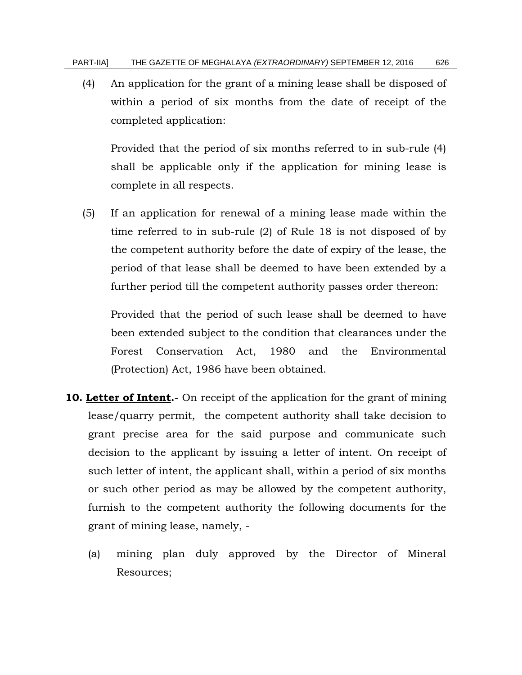(4) An application for the grant of a mining lease shall be disposed of within a period of six months from the date of receipt of the completed application:

 Provided that the period of six months referred to in sub-rule (4) shall be applicable only if the application for mining lease is complete in all respects.

(5) If an application for renewal of a mining lease made within the time referred to in sub-rule (2) of Rule 18 is not disposed of by the competent authority before the date of expiry of the lease, the period of that lease shall be deemed to have been extended by a further period till the competent authority passes order thereon:

 Provided that the period of such lease shall be deemed to have been extended subject to the condition that clearances under the Forest Conservation Act, 1980 and the Environmental (Protection) Act, 1986 have been obtained.

- **10. Letter of Intent.** On receipt of the application for the grant of mining lease/quarry permit, the competent authority shall take decision to grant precise area for the said purpose and communicate such decision to the applicant by issuing a letter of intent. On receipt of such letter of intent, the applicant shall, within a period of six months or such other period as may be allowed by the competent authority, furnish to the competent authority the following documents for the grant of mining lease, namely, -
	- (a) mining plan duly approved by the Director of Mineral Resources;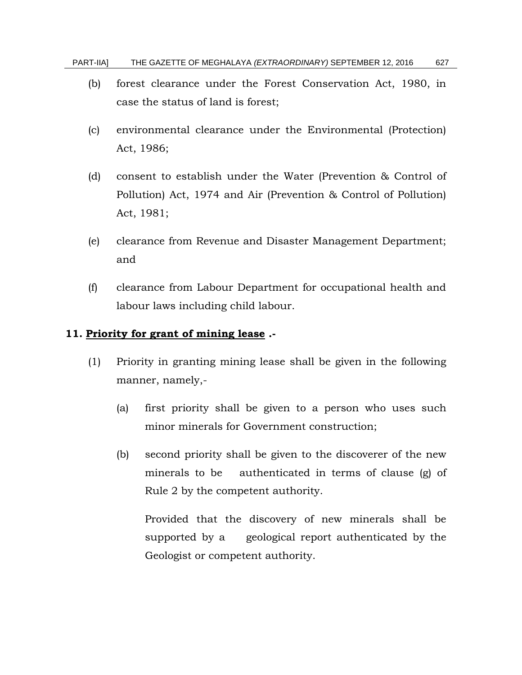- (b) forest clearance under the Forest Conservation Act, 1980, in case the status of land is forest;
- (c) environmental clearance under the Environmental (Protection) Act, 1986;
- (d) consent to establish under the Water (Prevention & Control of Pollution) Act, 1974 and Air (Prevention & Control of Pollution) Act, 1981;
- (e) clearance from Revenue and Disaster Management Department; and
- (f) clearance from Labour Department for occupational health and labour laws including child labour.

#### **11. Priority for grant of mining lease .-**

- (1) Priority in granting mining lease shall be given in the following manner, namely,-
	- (a) first priority shall be given to a person who uses such minor minerals for Government construction;
	- (b) second priority shall be given to the discoverer of the new minerals to be authenticated in terms of clause (g) of Rule 2 by the competent authority.

 Provided that the discovery of new minerals shall be supported by a geological report authenticated by the Geologist or competent authority.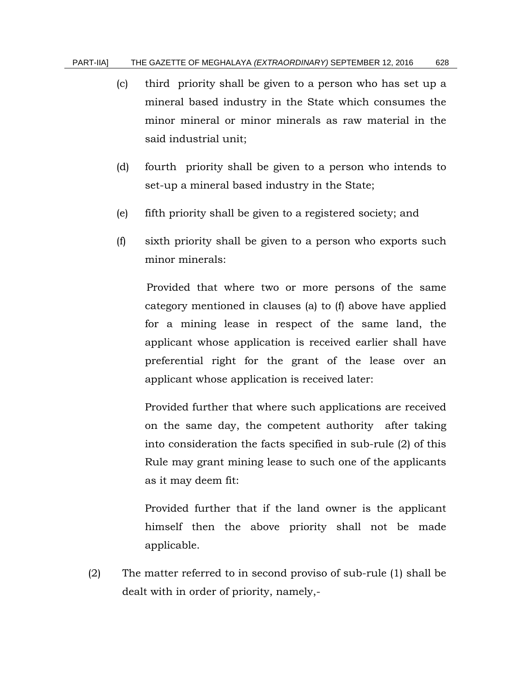- (c) third priority shall be given to a person who has set up a mineral based industry in the State which consumes the minor mineral or minor minerals as raw material in the said industrial unit;
- (d) fourth priority shall be given to a person who intends to set-up a mineral based industry in the State;
- (e) fifth priority shall be given to a registered society; and
- (f) sixth priority shall be given to a person who exports such minor minerals:

 Provided that where two or more persons of the same category mentioned in clauses (a) to (f) above have applied for a mining lease in respect of the same land, the applicant whose application is received earlier shall have preferential right for the grant of the lease over an applicant whose application is received later:

 Provided further that where such applications are received on the same day, the competent authority after taking into consideration the facts specified in sub-rule (2) of this Rule may grant mining lease to such one of the applicants as it may deem fit:

 Provided further that if the land owner is the applicant himself then the above priority shall not be made applicable.

(2) The matter referred to in second proviso of sub-rule (1) shall be dealt with in order of priority, namely,-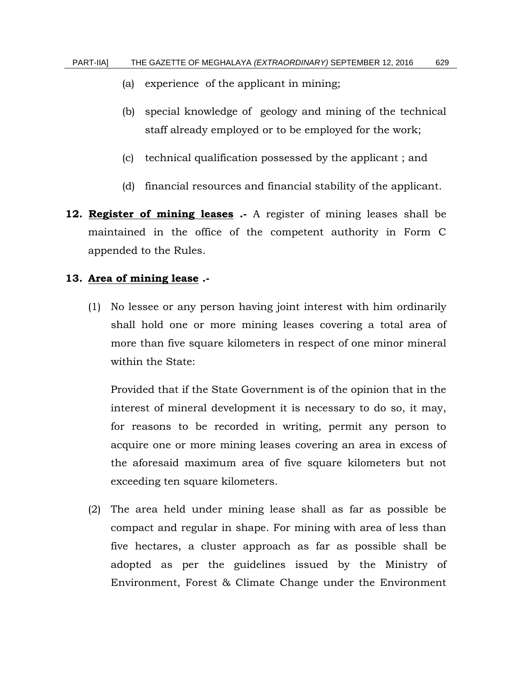- (a) experience of the applicant in mining;
- (b) special knowledge of geology and mining of the technical staff already employed or to be employed for the work;
- (c) technical qualification possessed by the applicant ; and
- (d) financial resources and financial stability of the applicant.
- **12. Register of mining leases .-** A register of mining leases shall be maintained in the office of the competent authority in Form C appended to the Rules.

#### **13. Area of mining lease .-**

(1) No lessee or any person having joint interest with him ordinarily shall hold one or more mining leases covering a total area of more than five square kilometers in respect of one minor mineral within the State:

 Provided that if the State Government is of the opinion that in the interest of mineral development it is necessary to do so, it may, for reasons to be recorded in writing, permit any person to acquire one or more mining leases covering an area in excess of the aforesaid maximum area of five square kilometers but not exceeding ten square kilometers.

(2) The area held under mining lease shall as far as possible be compact and regular in shape. For mining with area of less than five hectares, a cluster approach as far as possible shall be adopted as per the guidelines issued by the Ministry of Environment, Forest & Climate Change under the Environment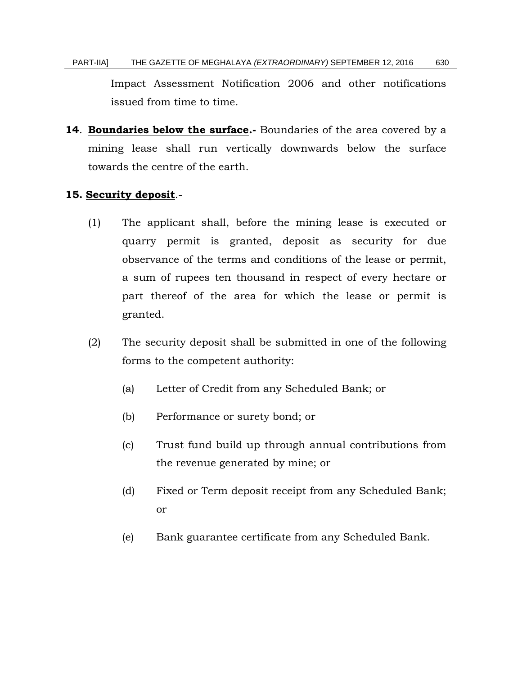Impact Assessment Notification 2006 and other notifications issued from time to time.

**14**. **Boundaries below the surface.-** Boundaries of the area covered by a mining lease shall run vertically downwards below the surface towards the centre of the earth.

## **15. Security deposit**.-

- (1) The applicant shall, before the mining lease is executed or quarry permit is granted, deposit as security for due observance of the terms and conditions of the lease or permit, a sum of rupees ten thousand in respect of every hectare or part thereof of the area for which the lease or permit is granted.
- (2) The security deposit shall be submitted in one of the following forms to the competent authority:
	- (a) Letter of Credit from any Scheduled Bank; or
	- (b) Performance or surety bond; or
	- (c) Trust fund build up through annual contributions from the revenue generated by mine; or
	- (d) Fixed or Term deposit receipt from any Scheduled Bank; or
	- (e) Bank guarantee certificate from any Scheduled Bank.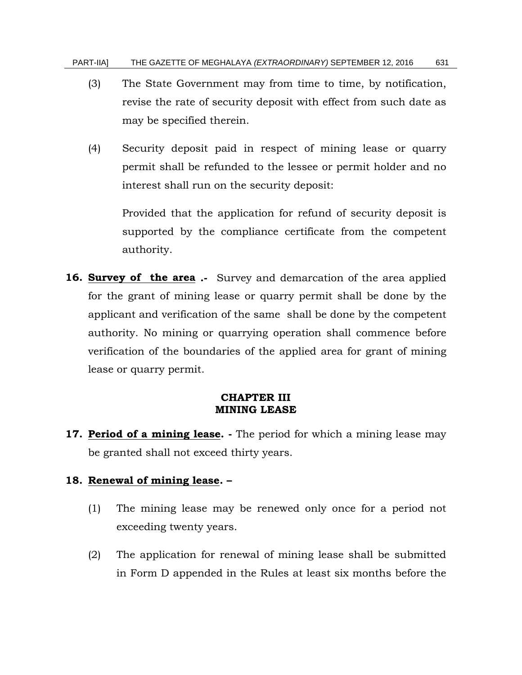- (3) The State Government may from time to time, by notification, revise the rate of security deposit with effect from such date as may be specified therein.
- (4) Security deposit paid in respect of mining lease or quarry permit shall be refunded to the lessee or permit holder and no interest shall run on the security deposit:

 Provided that the application for refund of security deposit is supported by the compliance certificate from the competent authority.

**16. Survey of the area .-** Survey and demarcation of the area applied for the grant of mining lease or quarry permit shall be done by the applicant and verification of the same shall be done by the competent authority. No mining or quarrying operation shall commence before verification of the boundaries of the applied area for grant of mining lease or quarry permit.

## **CHAPTER III MINING LEASE**

**17. Period of a mining lease. -** The period for which a mining lease may be granted shall not exceed thirty years.

## **18. Renewal of mining lease. –**

- (1) The mining lease may be renewed only once for a period not exceeding twenty years.
- (2) The application for renewal of mining lease shall be submitted in Form D appended in the Rules at least six months before the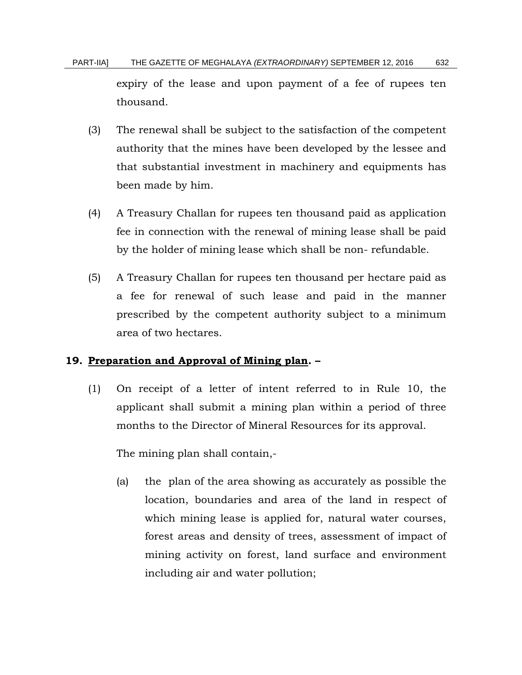expiry of the lease and upon payment of a fee of rupees ten thousand.

- (3) The renewal shall be subject to the satisfaction of the competent authority that the mines have been developed by the lessee and that substantial investment in machinery and equipments has been made by him.
- (4) A Treasury Challan for rupees ten thousand paid as application fee in connection with the renewal of mining lease shall be paid by the holder of mining lease which shall be non- refundable.
- (5) A Treasury Challan for rupees ten thousand per hectare paid as a fee for renewal of such lease and paid in the manner prescribed by the competent authority subject to a minimum area of two hectares.

## **19. Preparation and Approval of Mining plan. –**

(1) On receipt of a letter of intent referred to in Rule 10, the applicant shall submit a mining plan within a period of three months to the Director of Mineral Resources for its approval.

The mining plan shall contain,-

(a) the plan of the area showing as accurately as possible the location, boundaries and area of the land in respect of which mining lease is applied for, natural water courses, forest areas and density of trees, assessment of impact of mining activity on forest, land surface and environment including air and water pollution;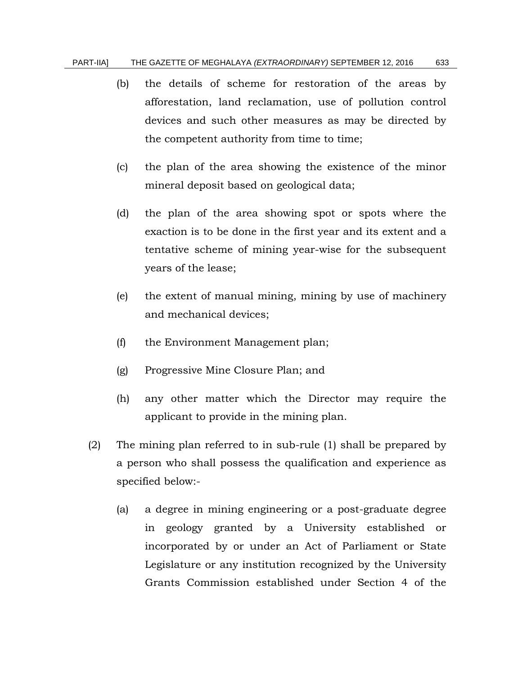- (b) the details of scheme for restoration of the areas by afforestation, land reclamation, use of pollution control devices and such other measures as may be directed by the competent authority from time to time;
- (c) the plan of the area showing the existence of the minor mineral deposit based on geological data;
- (d) the plan of the area showing spot or spots where the exaction is to be done in the first year and its extent and a tentative scheme of mining year-wise for the subsequent years of the lease;
- (e) the extent of manual mining, mining by use of machinery and mechanical devices;
- (f) the Environment Management plan;
- (g) Progressive Mine Closure Plan; and
- (h) any other matter which the Director may require the applicant to provide in the mining plan.
- (2) The mining plan referred to in sub-rule (1) shall be prepared by a person who shall possess the qualification and experience as specified below:-
	- (a) a degree in mining engineering or a post-graduate degree in geology granted by a University established or incorporated by or under an Act of Parliament or State Legislature or any institution recognized by the University Grants Commission established under Section 4 of the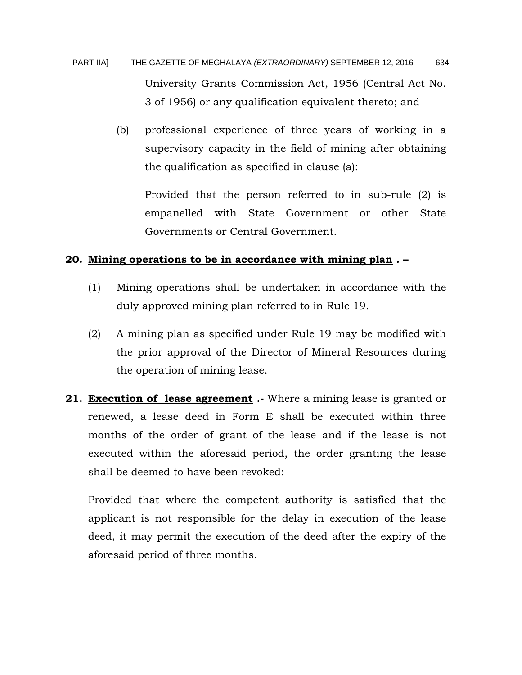University Grants Commission Act, 1956 (Central Act No. 3 of 1956) or any qualification equivalent thereto; and

(b) professional experience of three years of working in a supervisory capacity in the field of mining after obtaining the qualification as specified in clause (a):

 Provided that the person referred to in sub-rule (2) is empanelled with State Government or other State Governments or Central Government.

## **20. Mining operations to be in accordance with mining plan . –**

- (1) Mining operations shall be undertaken in accordance with the duly approved mining plan referred to in Rule 19.
- (2) A mining plan as specified under Rule 19 may be modified with the prior approval of the Director of Mineral Resources during the operation of mining lease.
- **21. Execution of lease agreement .-** Where a mining lease is granted or renewed, a lease deed in Form E shall be executed within three months of the order of grant of the lease and if the lease is not executed within the aforesaid period, the order granting the lease shall be deemed to have been revoked:

 Provided that where the competent authority is satisfied that the applicant is not responsible for the delay in execution of the lease deed, it may permit the execution of the deed after the expiry of the aforesaid period of three months.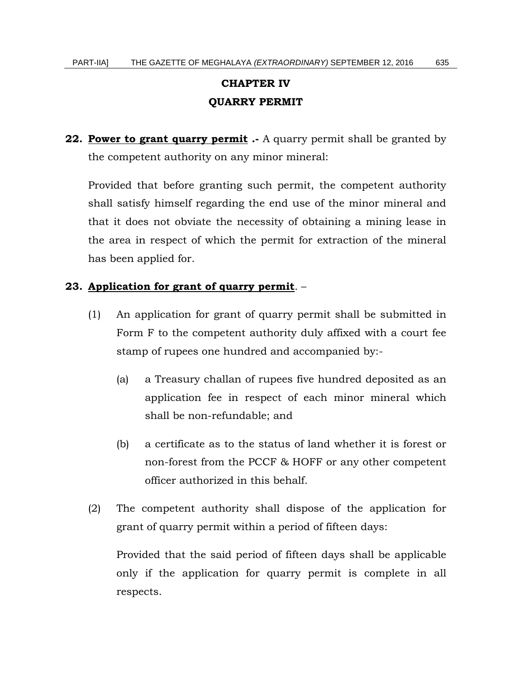## **CHAPTER IV QUARRY PERMIT**

**22. Power to grant quarry permit .-** A quarry permit shall be granted by the competent authority on any minor mineral:

Provided that before granting such permit, the competent authority shall satisfy himself regarding the end use of the minor mineral and that it does not obviate the necessity of obtaining a mining lease in the area in respect of which the permit for extraction of the mineral has been applied for.

#### **23. Application for grant of quarry permit**. –

- (1) An application for grant of quarry permit shall be submitted in Form F to the competent authority duly affixed with a court fee stamp of rupees one hundred and accompanied by:-
	- (a) a Treasury challan of rupees five hundred deposited as an application fee in respect of each minor mineral which shall be non-refundable; and
	- (b) a certificate as to the status of land whether it is forest or non-forest from the PCCF & HOFF or any other competent officer authorized in this behalf.
- (2) The competent authority shall dispose of the application for grant of quarry permit within a period of fifteen days:

Provided that the said period of fifteen days shall be applicable only if the application for quarry permit is complete in all respects.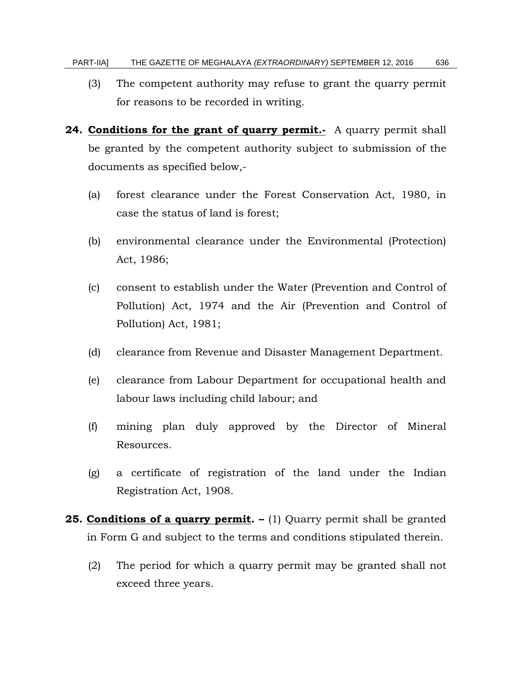- (3) The competent authority may refuse to grant the quarry permit for reasons to be recorded in writing.
- **24. Conditions for the grant of quarry permit.-** A quarry permit shall be granted by the competent authority subject to submission of the documents as specified below,-
	- (a) forest clearance under the Forest Conservation Act, 1980, in case the status of land is forest;
	- (b) environmental clearance under the Environmental (Protection) Act, 1986;
	- (c) consent to establish under the Water (Prevention and Control of Pollution) Act, 1974 and the Air (Prevention and Control of Pollution) Act, 1981;
	- (d) clearance from Revenue and Disaster Management Department.
	- (e) clearance from Labour Department for occupational health and labour laws including child labour; and
	- (f) mining plan duly approved by the Director of Mineral Resources.
	- (g) a certificate of registration of the land under the Indian Registration Act, 1908.
- **25. Conditions of a quarry permit.** (1) Quarry permit shall be granted in Form G and subject to the terms and conditions stipulated therein.
	- (2) The period for which a quarry permit may be granted shall not exceed three years.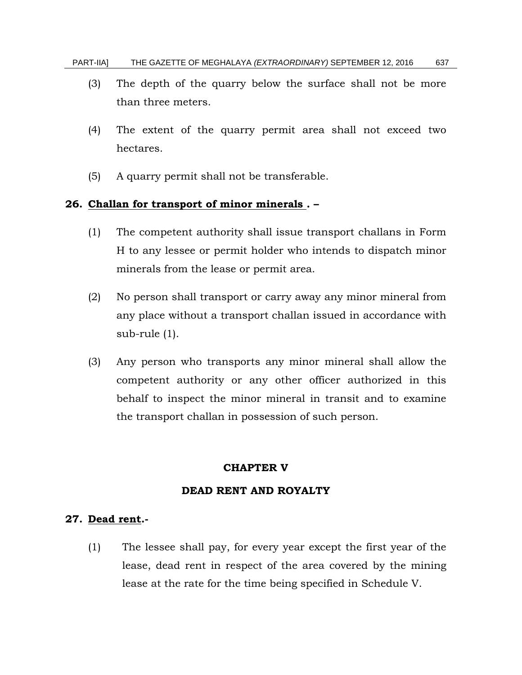#### PART-IIA] THE GAZETTE OF MEGHALAYA *(EXTRAORDINARY)* SEPTEMBER 12, 2016 637

- (3) The depth of the quarry below the surface shall not be more than three meters.
- (4) The extent of the quarry permit area shall not exceed two hectares.
- (5) A quarry permit shall not be transferable.

## **26. Challan for transport of minor minerals . –**

- (1) The competent authority shall issue transport challans in Form H to any lessee or permit holder who intends to dispatch minor minerals from the lease or permit area.
- (2) No person shall transport or carry away any minor mineral from any place without a transport challan issued in accordance with sub-rule (1).
- (3) Any person who transports any minor mineral shall allow the competent authority or any other officer authorized in this behalf to inspect the minor mineral in transit and to examine the transport challan in possession of such person.

## **CHAPTER V**

#### **DEAD RENT AND ROYALTY**

## **27. Dead rent.-**

(1) The lessee shall pay, for every year except the first year of the lease, dead rent in respect of the area covered by the mining lease at the rate for the time being specified in Schedule V.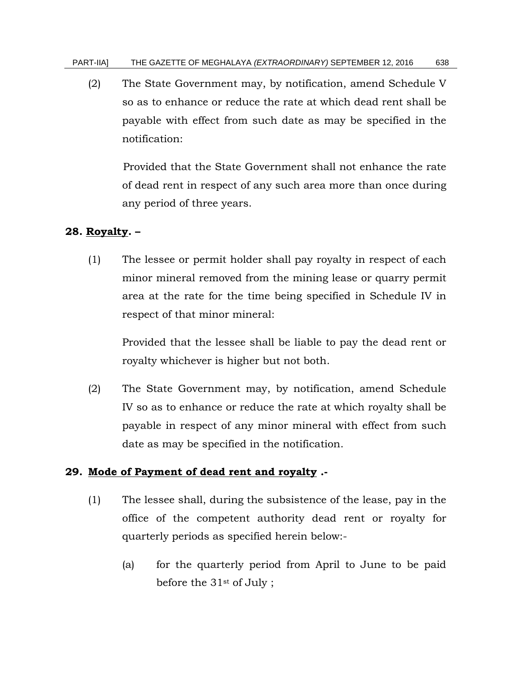(2) The State Government may, by notification, amend Schedule V so as to enhance or reduce the rate at which dead rent shall be payable with effect from such date as may be specified in the notification:

 Provided that the State Government shall not enhance the rate of dead rent in respect of any such area more than once during any period of three years.

## **28. Royalty. –**

(1) The lessee or permit holder shall pay royalty in respect of each minor mineral removed from the mining lease or quarry permit area at the rate for the time being specified in Schedule IV in respect of that minor mineral:

 Provided that the lessee shall be liable to pay the dead rent or royalty whichever is higher but not both.

(2) The State Government may, by notification, amend Schedule IV so as to enhance or reduce the rate at which royalty shall be payable in respect of any minor mineral with effect from such date as may be specified in the notification.

## **29. Mode of Payment of dead rent and royalty .-**

- (1) The lessee shall, during the subsistence of the lease, pay in the office of the competent authority dead rent or royalty for quarterly periods as specified herein below:-
	- (a) for the quarterly period from April to June to be paid before the 31st of July ;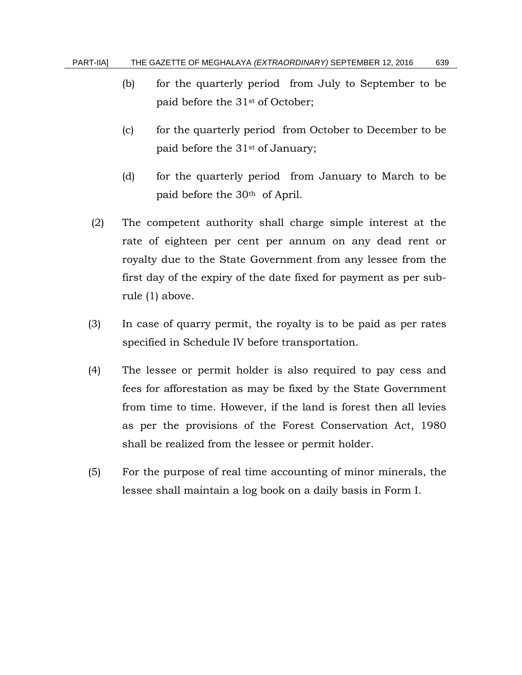- (b) for the quarterly period from July to September to be paid before the 31st of October;
- (c) for the quarterly period from October to December to be paid before the 31st of January;
- (d) for the quarterly period from January to March to be paid before the 30th of April.
- (2) The competent authority shall charge simple interest at the rate of eighteen per cent per annum on any dead rent or royalty due to the State Government from any lessee from the first day of the expiry of the date fixed for payment as per subrule (1) above.
- (3) In case of quarry permit, the royalty is to be paid as per rates specified in Schedule IV before transportation.
- (4) The lessee or permit holder is also required to pay cess and fees for afforestation as may be fixed by the State Government from time to time. However, if the land is forest then all levies as per the provisions of the Forest Conservation Act, 1980 shall be realized from the lessee or permit holder.
- (5) For the purpose of real time accounting of minor minerals, the lessee shall maintain a log book on a daily basis in Form I.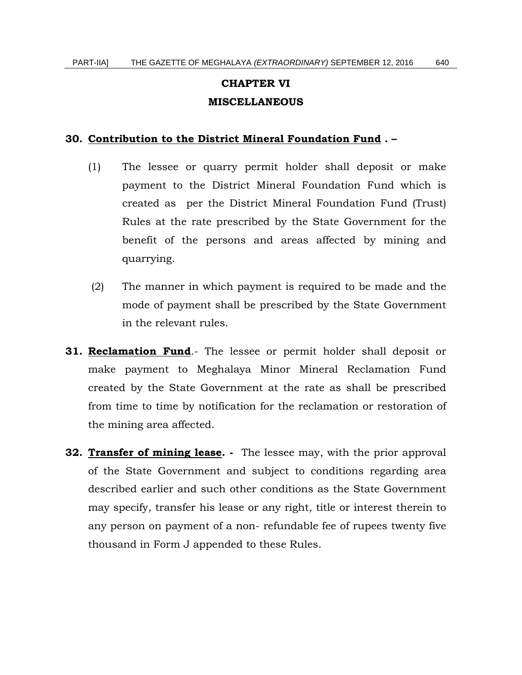## **CHAPTER VI MISCELLANEOUS**

#### **30. Contribution to the District Mineral Foundation Fund . –**

- (1) The lessee or quarry permit holder shall deposit or make payment to the District Mineral Foundation Fund which is created as per the District Mineral Foundation Fund (Trust) Rules at the rate prescribed by the State Government for the benefit of the persons and areas affected by mining and quarrying.
- (2) The manner in which payment is required to be made and the mode of payment shall be prescribed by the State Government in the relevant rules.
- **31. Reclamation Fund**.- The lessee or permit holder shall deposit or make payment to Meghalaya Minor Mineral Reclamation Fund created by the State Government at the rate as shall be prescribed from time to time by notification for the reclamation or restoration of the mining area affected.
- **32. Transfer of mining lease.** The lessee may, with the prior approval of the State Government and subject to conditions regarding area described earlier and such other conditions as the State Government may specify, transfer his lease or any right, title or interest therein to any person on payment of a non- refundable fee of rupees twenty five thousand in Form J appended to these Rules.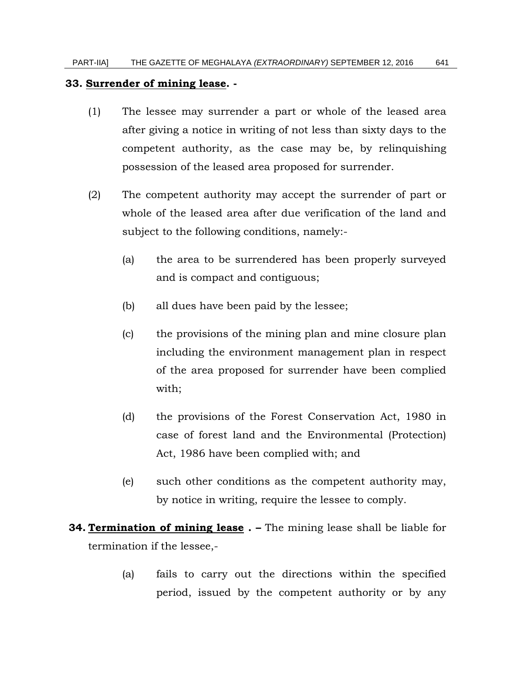#### **33. Surrender of mining lease. -**

- (1) The lessee may surrender a part or whole of the leased area after giving a notice in writing of not less than sixty days to the competent authority, as the case may be, by relinquishing possession of the leased area proposed for surrender.
- (2) The competent authority may accept the surrender of part or whole of the leased area after due verification of the land and subject to the following conditions, namely:-
	- (a) the area to be surrendered has been properly surveyed and is compact and contiguous;
	- (b) all dues have been paid by the lessee;
	- (c) the provisions of the mining plan and mine closure plan including the environment management plan in respect of the area proposed for surrender have been complied with;
	- (d) the provisions of the Forest Conservation Act, 1980 in case of forest land and the Environmental (Protection) Act, 1986 have been complied with; and
	- (e) such other conditions as the competent authority may, by notice in writing, require the lessee to comply.
- **34. Termination of mining lease . –** The mining lease shall be liable for termination if the lessee,-
	- (a) fails to carry out the directions within the specified period, issued by the competent authority or by any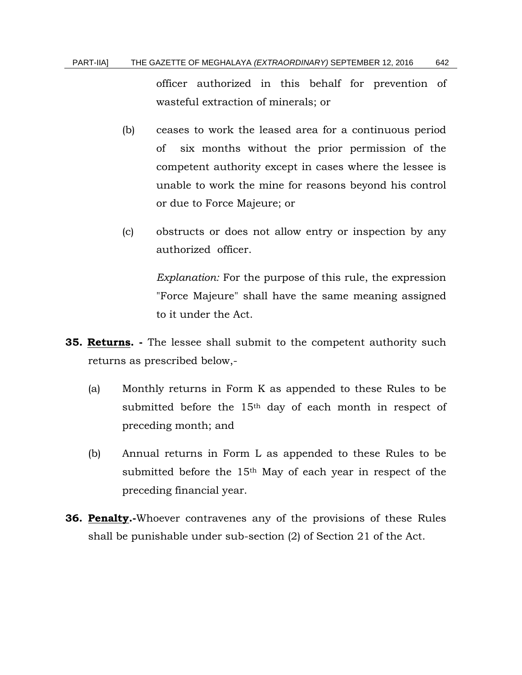officer authorized in this behalf for prevention of wasteful extraction of minerals; or

- (b) ceases to work the leased area for a continuous period of six months without the prior permission of the competent authority except in cases where the lessee is unable to work the mine for reasons beyond his control or due to Force Majeure; or
- (c) obstructs or does not allow entry or inspection by any authorized officer.

 *Explanation:* For the purpose of this rule, the expression "Force Majeure" shall have the same meaning assigned to it under the Act.

- **35. Returns.** The lessee shall submit to the competent authority such returns as prescribed below,-
	- (a) Monthly returns in Form K as appended to these Rules to be submitted before the 15<sup>th</sup> day of each month in respect of preceding month; and
	- (b) Annual returns in Form L as appended to these Rules to be submitted before the 15th May of each year in respect of the preceding financial year.
- **36. Penalty.-**Whoever contravenes any of the provisions of these Rules shall be punishable under sub-section (2) of Section 21 of the Act.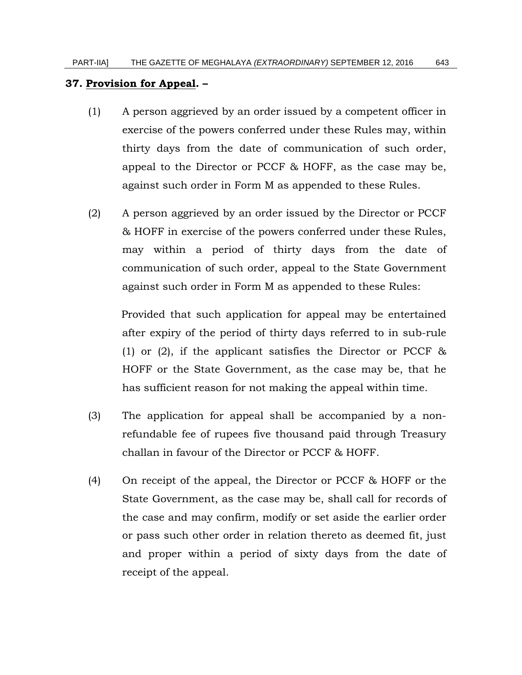#### **37. Provision for Appeal. –**

- (1) A person aggrieved by an order issued by a competent officer in exercise of the powers conferred under these Rules may, within thirty days from the date of communication of such order, appeal to the Director or PCCF & HOFF, as the case may be, against such order in Form M as appended to these Rules.
- (2) A person aggrieved by an order issued by the Director or PCCF & HOFF in exercise of the powers conferred under these Rules, may within a period of thirty days from the date of communication of such order, appeal to the State Government against such order in Form M as appended to these Rules:

 Provided that such application for appeal may be entertained after expiry of the period of thirty days referred to in sub-rule (1) or (2), if the applicant satisfies the Director or PCCF & HOFF or the State Government, as the case may be, that he has sufficient reason for not making the appeal within time.

- (3) The application for appeal shall be accompanied by a nonrefundable fee of rupees five thousand paid through Treasury challan in favour of the Director or PCCF & HOFF.
- (4) On receipt of the appeal, the Director or PCCF & HOFF or the State Government, as the case may be, shall call for records of the case and may confirm, modify or set aside the earlier order or pass such other order in relation thereto as deemed fit, just and proper within a period of sixty days from the date of receipt of the appeal.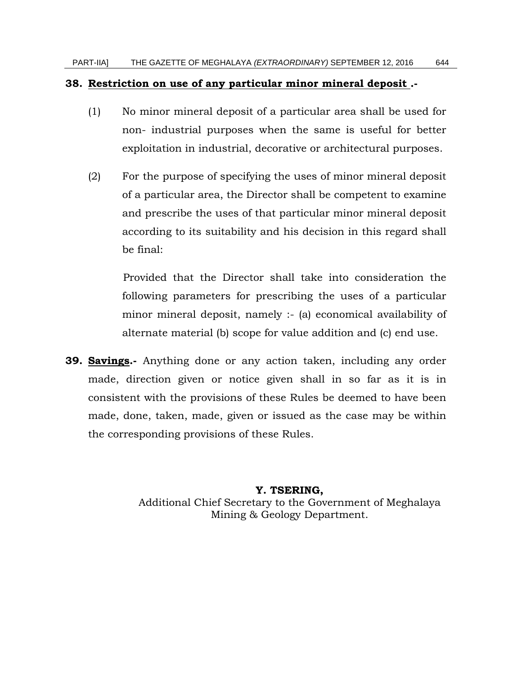#### **38. Restriction on use of any particular minor mineral deposit .-**

- (1) No minor mineral deposit of a particular area shall be used for non- industrial purposes when the same is useful for better exploitation in industrial, decorative or architectural purposes.
- (2) For the purpose of specifying the uses of minor mineral deposit of a particular area, the Director shall be competent to examine and prescribe the uses of that particular minor mineral deposit according to its suitability and his decision in this regard shall be final:

 Provided that the Director shall take into consideration the following parameters for prescribing the uses of a particular minor mineral deposit, namely :- (a) economical availability of alternate material (b) scope for value addition and (c) end use.

**39. Savings.-** Anything done or any action taken, including any order made, direction given or notice given shall in so far as it is in consistent with the provisions of these Rules be deemed to have been made, done, taken, made, given or issued as the case may be within the corresponding provisions of these Rules.

> **Y. TSERING,**  Additional Chief Secretary to the Government of Meghalaya Mining & Geology Department.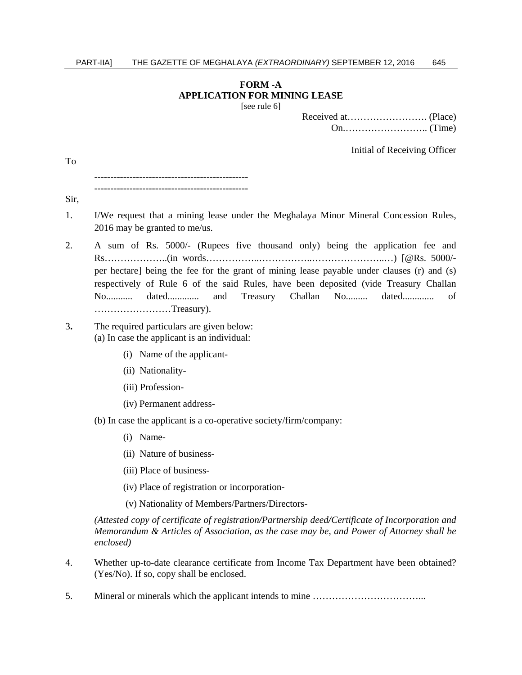## **FORM -A APPLICATION FOR MINING LEASE**

[see rule 6]

Received at……………………. (Place) On.…………………….. (Time)

Initial of Receiving Officer

To

|  | -- |
|--|----|
|  |    |

Sir,

- 1. I/We request that a mining lease under the Meghalaya Minor Mineral Concession Rules, 2016 may be granted to me/us.
- 2. A sum of Rs. 5000/- (Rupees five thousand only) being the application fee and Rs………………..(in words……………..……………..…………………..…) [@Rs. 5000/ per hectare] being the fee for the grant of mining lease payable under clauses (r) and (s) respectively of Rule 6 of the said Rules, have been deposited (vide Treasury Challan No........... dated............. and Treasury Challan No......... dated............. of ……………………Treasury).
- 3**.** The required particulars are given below: (a) In case the applicant is an individual:
	- (i) Name of the applicant-
	- (ii) Nationality-
	- (iii) Profession-
	- (iv) Permanent address-
	- (b) In case the applicant is a co-operative society/firm/company:
		- (i) Name-
		- (ii) Nature of business-
		- (iii) Place of business-
		- (iv) Place of registration or incorporation-
		- (v) Nationality of Members/Partners/Directors-

*(Attested copy of certificate of registration/Partnership deed/Certificate of Incorporation and Memorandum & Articles of Association, as the case may be, and Power of Attorney shall be enclosed)* 

- 4. Whether up-to-date clearance certificate from Income Tax Department have been obtained? (Yes/No). If so, copy shall be enclosed.
- 5. Mineral or minerals which the applicant intends to mine ……………………………...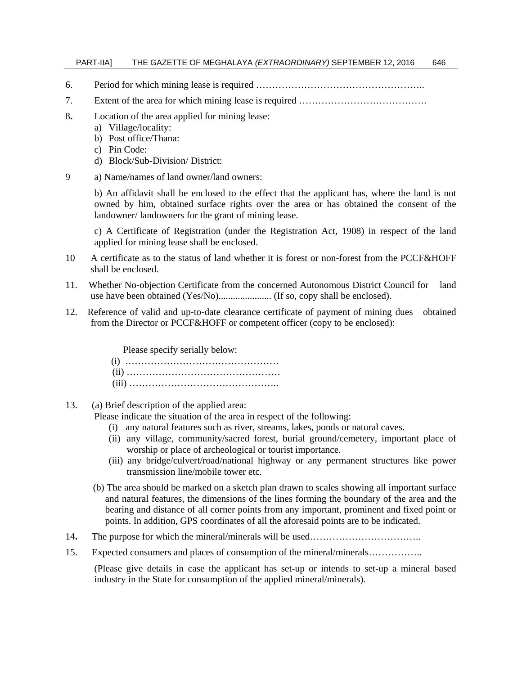- 6. Period for which mining lease is required ……………………………………………..
- 7. Extent of the area for which mining lease is required ………………………………….
- 8**.** Location of the area applied for mining lease:
	- a) Village/locality:
	- b) Post office/Thana:
	- c) Pin Code:
	- d) Block/Sub-Division/ District:
- 9 a) Name/names of land owner/land owners:

b) An affidavit shall be enclosed to the effect that the applicant has, where the land is not owned by him, obtained surface rights over the area or has obtained the consent of the landowner/ landowners for the grant of mining lease.

c) A Certificate of Registration (under the Registration Act, 1908) in respect of the land applied for mining lease shall be enclosed.

- 10 A certificate as to the status of land whether it is forest or non-forest from the PCCF&HOFF shall be enclosed.
- 11. Whether No-objection Certificate from the concerned Autonomous District Council for land use have been obtained (Yes/No)...................... (If so, copy shall be enclosed).
- 12. Reference of valid and up-to-date clearance certificate of payment of mining dues obtained from the Director or PCCF&HOFF or competent officer (copy to be enclosed):

Please specify serially below:<br>(i) .......

- 13. (a) Brief description of the applied area:
	- Please indicate the situation of the area in respect of the following:
		- (i) any natural features such as river, streams, lakes, ponds or natural caves.
		- (ii) any village, community/sacred forest, burial ground/cemetery, important place of worship or place of archeological or tourist importance.
		- (iii) any bridge/culvert/road/national highway or any permanent structures like power transmission line/mobile tower etc.
	- (b) The area should be marked on a sketch plan drawn to scales showing all important surface and natural features, the dimensions of the lines forming the boundary of the area and the bearing and distance of all corner points from any important, prominent and fixed point or points. In addition, GPS coordinates of all the aforesaid points are to be indicated.
- 14**.** The purpose for which the mineral/minerals will be used……………………………..
- 15. Expected consumers and places of consumption of the mineral/minerals……………..

(Please give details in case the applicant has set-up or intends to set-up a mineral based industry in the State for consumption of the applied mineral/minerals).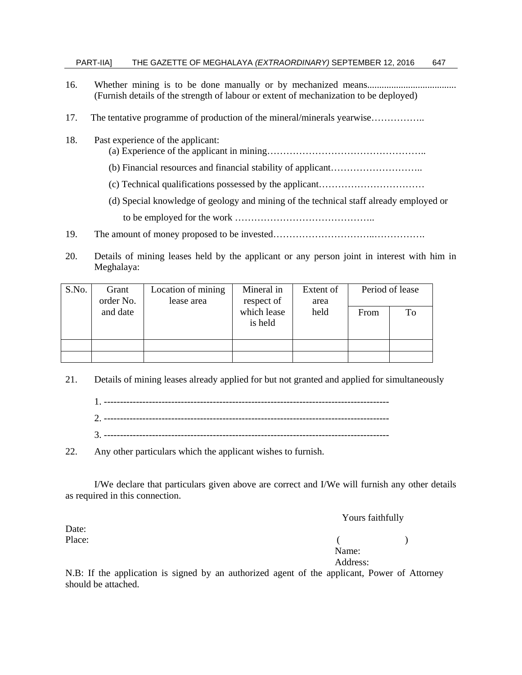- 16. Whether mining is to be done manually or by mechanized means..................................... (Furnish details of the strength of labour or extent of mechanization to be deployed)
- 17. The tentative programme of production of the mineral/minerals yearwise……………..
- 18. Past experience of the applicant:
	- (a) Experience of the applicant in mining…………………………………………..
	- (b) Financial resources and financial stability of applicant………………………..
	- (c) Technical qualifications possessed by the applicant……………………………
	- (d) Special knowledge of geology and mining of the technical staff already employed or to be employed for the work ……………………………………..
- 19. The amount of money proposed to be invested………………………………………………………………………………………
- 20. Details of mining leases held by the applicant or any person joint in interest with him in Meghalaya:

| S.No. | Grant<br>order No. | Location of mining<br>lease area | Mineral in<br>respect of | Extent of<br>area |      | Period of lease |
|-------|--------------------|----------------------------------|--------------------------|-------------------|------|-----------------|
|       | and date           |                                  | which lease<br>is held   | held              | From | To              |
|       |                    |                                  |                          |                   |      |                 |
|       |                    |                                  |                          |                   |      |                 |

21. Details of mining leases already applied for but not granted and applied for simultaneously

22. Any other particulars which the applicant wishes to furnish.

I/We declare that particulars given above are correct and I/We will furnish any other details as required in this connection.

Yours faithfully

Date:

Place: ( ) Name: Address:

N.B: If the application is signed by an authorized agent of the applicant, Power of Attorney should be attached.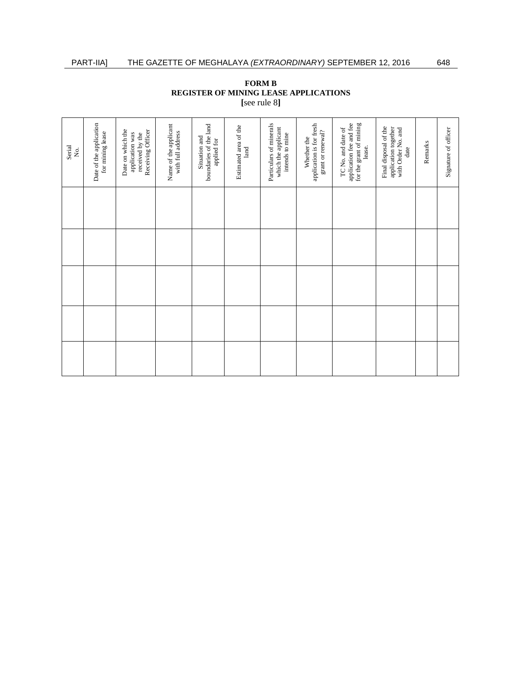|  |  | Serial<br>Σó                                                                       |
|--|--|------------------------------------------------------------------------------------|
|  |  | Date of the application<br>for mining lease                                        |
|  |  | Date on which the<br>Receiving Officer<br>application was<br>received by the       |
|  |  | Name of the applicant<br>with full address                                         |
|  |  | boundaries of the land<br>Situation and<br>applied for                             |
|  |  | Estimated area of the<br>land                                                      |
|  |  | Particulars of minerals<br>which the applicant<br>intends to mine                  |
|  |  | application is for fresh<br>grant or renewal?<br>Whether the                       |
|  |  | for the grant of mining<br>application fee and fee<br>TC No. and date of<br>lease. |
|  |  | Final disposal of the<br>application together<br>with Order No. and<br>date        |
|  |  | Remarks                                                                            |
|  |  | Signature of officer                                                               |

**FORM B REGISTER OF MINING LEASE APPLICATIONS [**see rule 8**]**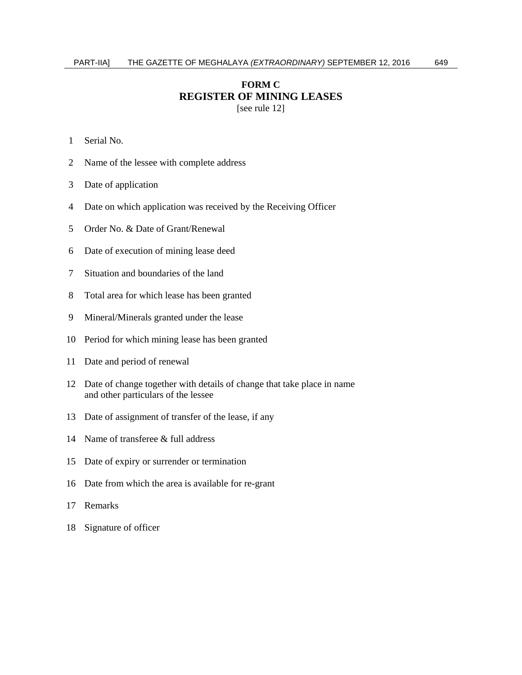#### **FORM C REGISTER OF MINING LEASES**  [see rule 12]

- 1 Serial No.
- 2 Name of the lessee with complete address
- 3 Date of application
- 4 Date on which application was received by the Receiving Officer
- 5 Order No. & Date of Grant/Renewal
- 6 Date of execution of mining lease deed
- 7 Situation and boundaries of the land
- 8 Total area for which lease has been granted
- 9 Mineral/Minerals granted under the lease
- 10 Period for which mining lease has been granted
- 11 Date and period of renewal
- 12 Date of change together with details of change that take place in name and other particulars of the lessee
- 13 Date of assignment of transfer of the lease, if any
- 14 Name of transferee & full address
- 15 Date of expiry or surrender or termination
- 16 Date from which the area is available for re-grant
- 17 Remarks
- 18 Signature of officer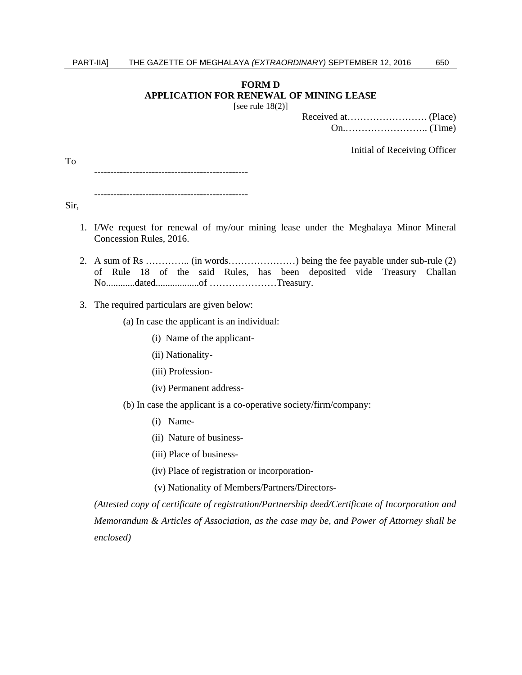## **FORM D APPLICATION FOR RENEWAL OF MINING LEASE**

[see rule  $18(2)$ ]

Received at……………………. (Place) On.…………………….. (Time)

Initial of Receiving Officer

To

Sir,

- 1. I/We request for renewal of my/our mining lease under the Meghalaya Minor Mineral Concession Rules, 2016.
- 2. A sum of Rs ………….. (in words…………………) being the fee payable under sub-rule (2) of Rule 18 of the said Rules, has been deposited vide Treasury Challan No............dated..................of …………………Treasury.
- 3. The required particulars are given below:
	- (a) In case the applicant is an individual:
		- (i) Name of the applicant-
		- (ii) Nationality-
		- (iii) Profession-
		- (iv) Permanent address-
	- (b) In case the applicant is a co-operative society/firm/company:
		- (i) Name-
		- (ii) Nature of business-
		- (iii) Place of business-
		- (iv) Place of registration or incorporation-
		- (v) Nationality of Members/Partners/Directors-

*(Attested copy of certificate of registration/Partnership deed/Certificate of Incorporation and Memorandum & Articles of Association, as the case may be, and Power of Attorney shall be enclosed)*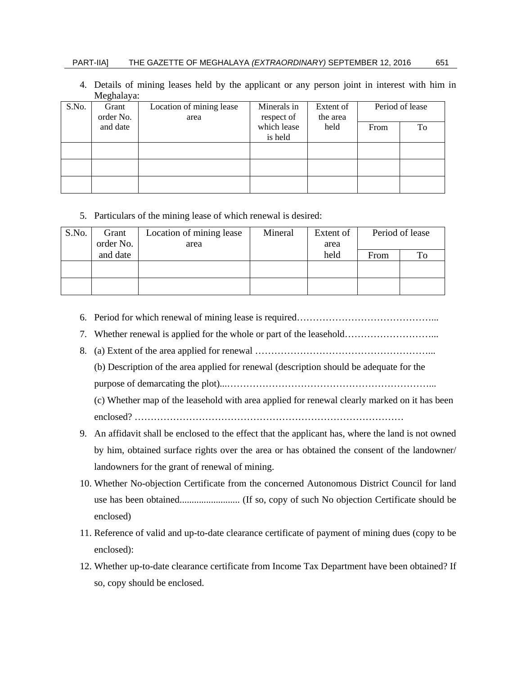#### PART-IIA] THE GAZETTE OF MEGHALAYA *(EXTRAORDINARY)* SEPTEMBER 12, 2016 651

4. Details of mining leases held by the applicant or any person joint in interest with him in Meghalaya:

| S.No. | Grant                 | Location of mining lease | Minerals in                          | Extent of        |      | Period of lease |
|-------|-----------------------|--------------------------|--------------------------------------|------------------|------|-----------------|
|       | order No.<br>and date | area                     | respect of<br>which lease<br>is held | the area<br>held | From | To              |
|       |                       |                          |                                      |                  |      |                 |
|       |                       |                          |                                      |                  |      |                 |
|       |                       |                          |                                      |                  |      |                 |

#### 5. Particulars of the mining lease of which renewal is desired:

| S.No. | Grant     | Location of mining lease | Mineral | Extent of |      | Period of lease |
|-------|-----------|--------------------------|---------|-----------|------|-----------------|
|       | order No. | area                     |         | area      |      |                 |
|       | and date  |                          |         | held      | From | To              |
|       |           |                          |         |           |      |                 |
|       |           |                          |         |           |      |                 |
|       |           |                          |         |           |      |                 |

6. Period for which renewal of mining lease is required……………………………………...

7. Whether renewal is applied for the whole or part of the leasehold………………………...

8. (a) Extent of the area applied for renewal ………………………………………………...

(b) Description of the area applied for renewal (description should be adequate for the

purpose of demarcating the plot)...………………………………………………………...

(c) Whether map of the leasehold with area applied for renewal clearly marked on it has been enclosed? …………………………………………………………………………

- 9. An affidavit shall be enclosed to the effect that the applicant has, where the land is not owned by him, obtained surface rights over the area or has obtained the consent of the landowner/ landowners for the grant of renewal of mining.
- 10. Whether No-objection Certificate from the concerned Autonomous District Council for land use has been obtained......................... (If so, copy of such No objection Certificate should be enclosed)
- 11. Reference of valid and up-to-date clearance certificate of payment of mining dues (copy to be enclosed):
- 12. Whether up-to-date clearance certificate from Income Tax Department have been obtained? If so, copy should be enclosed.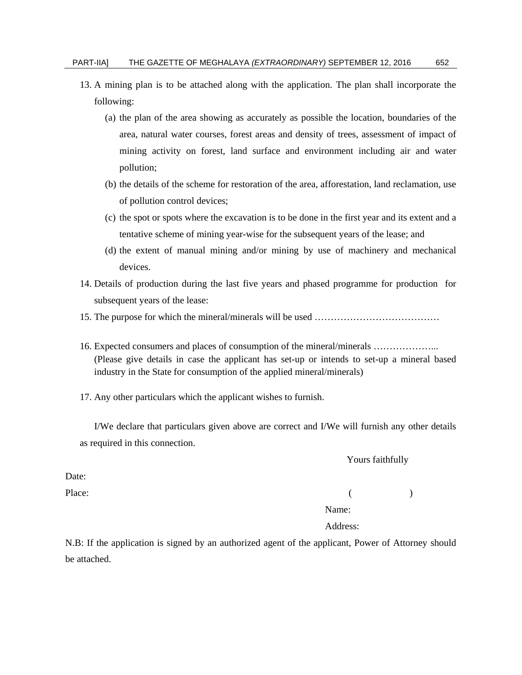- 13. A mining plan is to be attached along with the application. The plan shall incorporate the following:
	- (a) the plan of the area showing as accurately as possible the location, boundaries of the area, natural water courses, forest areas and density of trees, assessment of impact of mining activity on forest, land surface and environment including air and water pollution;
	- (b) the details of the scheme for restoration of the area, afforestation, land reclamation, use of pollution control devices;
	- (c) the spot or spots where the excavation is to be done in the first year and its extent and a tentative scheme of mining year-wise for the subsequent years of the lease; and
	- (d) the extent of manual mining and/or mining by use of machinery and mechanical devices.
- 14. Details of production during the last five years and phased programme for production for subsequent years of the lease:
- 15. The purpose for which the mineral/minerals will be used …………………………………
- 16. Expected consumers and places of consumption of the mineral/minerals ………………... (Please give details in case the applicant has set-up or intends to set-up a mineral based industry in the State for consumption of the applied mineral/minerals)
- 17. Any other particulars which the applicant wishes to furnish.

I/We declare that particulars given above are correct and I/We will furnish any other details as required in this connection.

Yours faithfully

Date:

Place: ( )

#### Name:

#### Address:

N.B: If the application is signed by an authorized agent of the applicant, Power of Attorney should be attached.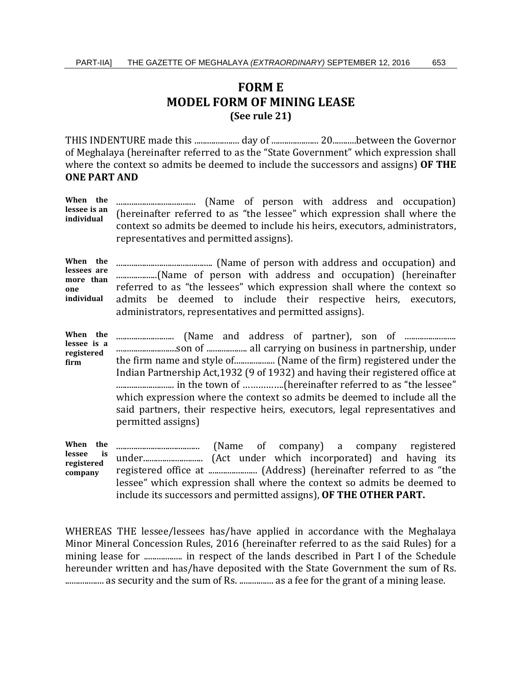# **FORM E MODEL FORM OF MINING LEASE (See rule 21)**

THIS INDENTURE made this ..................... day of ...................... 20...........between the Governor of Meghalaya (hereinafter referred to as the "State Government" which expression shall where the context so admits be deemed to include the successors and assigns) **OF THE ONE PART AND**

**When the lessee is an individual** ..................................... (Name of person with address and occupation) (hereinafter referred to as "the lessee" which expression shall where the context so admits be deemed to include his heirs, executors, administrators, representatives and permitted assigns).

**When the lessees are more than one individual** ............................................. (Name of person with address and occupation) and ...................(Name of person with address and occupation) (hereinafter referred to as "the lessees" which expression shall where the context so admits be deemed to include their respective heirs, executors, administrators, representatives and permitted assigns).

**When the lessee is a registered firm** ........................... (Name and address of partner), son of ........................ ............................son of ................... all carrying on business in partnership, under the firm name and style of................... (Name of the firm) registered under the Indian Partnership Act,1932 (9 of 1932) and having their registered office at ........................... in the town of …………….(hereinafter referred to as "the lessee" which expression where the context so admits be deemed to include all the said partners, their respective heirs, executors, legal representatives and permitted assigns)

**When the lessee is registered company** ....................................... (Name of company) a company registered under............................ (Act under which incorporated) and having its registered office at ....................... (Address) (hereinafter referred to as "the lessee" which expression shall where the context so admits be deemed to include its successors and permitted assigns), **OF THE OTHER PART.**

WHEREAS THE lessee/lessees has/have applied in accordance with the Meghalaya Minor Mineral Concession Rules, 2016 (hereinafter referred to as the said Rules) for a mining lease for .................... in respect of the lands described in Part I of the Schedule hereunder written and has/have deposited with the State Government the sum of Rs. .................. as security and the sum of Rs. ................ as a fee for the grant of a mining lease.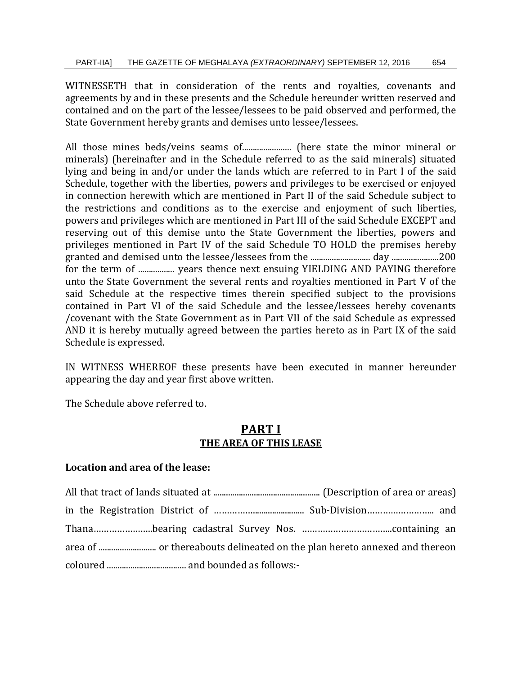WITNESSETH that in consideration of the rents and royalties, covenants and agreements by and in these presents and the Schedule hereunder written reserved and contained and on the part of the lessee/lessees to be paid observed and performed, the State Government hereby grants and demises unto lessee/lessees.

All those mines beds/veins seams of....................... (here state the minor mineral or minerals) (hereinafter and in the Schedule referred to as the said minerals) situated lying and being in and/or under the lands which are referred to in Part I of the said Schedule, together with the liberties, powers and privileges to be exercised or enjoyed in connection herewith which are mentioned in Part II of the said Schedule subject to the restrictions and conditions as to the exercise and enjoyment of such liberties, powers and privileges which are mentioned in Part III of the said Schedule EXCEPT and reserving out of this demise unto the State Government the liberties, powers and privileges mentioned in Part IV of the said Schedule TO HOLD the premises hereby granted and demised unto the lessee/lessees from the ............................ day ......................200 for the term of ................. years thence next ensuing YIELDING AND PAYING therefore unto the State Government the several rents and royalties mentioned in Part V of the said Schedule at the respective times therein specified subject to the provisions contained in Part VI of the said Schedule and the lessee/lessees hereby covenants /covenant with the State Government as in Part VII of the said Schedule as expressed AND it is hereby mutually agreed between the parties hereto as in Part IX of the said Schedule is expressed.

IN WITNESS WHEREOF these presents have been executed in manner hereunder appearing the day and year first above written.

The Schedule above referred to.

# **PART I THE AREA OF THIS LEASE**

### **Location and area of the lease:**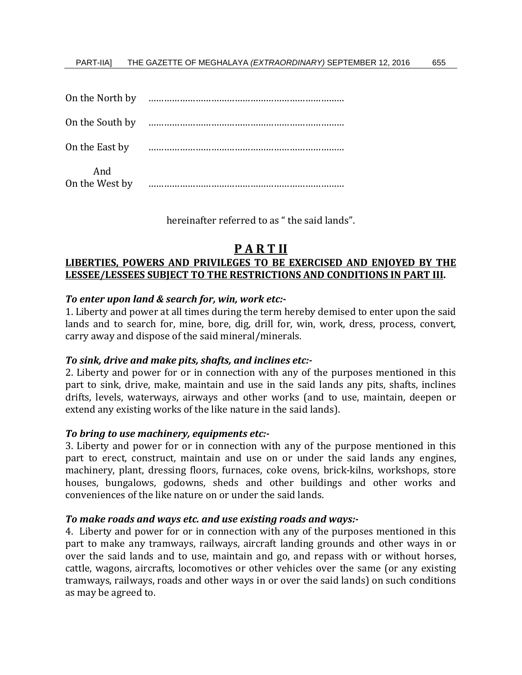| On the North by       |  |
|-----------------------|--|
| On the South by       |  |
| On the East by        |  |
| And<br>On the West by |  |

hereinafter referred to as " the said lands".

# **P A R T II**

# **LIBERTIES, POWERS AND PRIVILEGES TO BE EXERCISED AND ENJOYED BY THE LESSEE/LESSEES SUBJECT TO THE RESTRICTIONS AND CONDITIONS IN PART III.**

## *To enter upon land & search for, win, work etc:*

1. Liberty and power at all times during the term hereby demised to enter upon the said lands and to search for, mine, bore, dig, drill for, win, work, dress, process, convert, carry away and dispose of the said mineral/minerals.

### *To sink, drive and make pits, shafts, and inclines etc:*

2. Liberty and power for or in connection with any of the purposes mentioned in this part to sink, drive, make, maintain and use in the said lands any pits, shafts, inclines drifts, levels, waterways, airways and other works (and to use, maintain, deepen or extend any existing works of the like nature in the said lands).

### *To bring to use machinery, equipments etc:*

3. Liberty and power for or in connection with any of the purpose mentioned in this part to erect, construct, maintain and use on or under the said lands any engines, machinery, plant, dressing floors, furnaces, coke ovens, brick‐kilns, workshops, store houses, bungalows, godowns, sheds and other buildings and other works and conveniences of the like nature on or under the said lands.

### *To make roads and ways etc. and use existing roads and ways:*

4. Liberty and power for or in connection with any of the purposes mentioned in this part to make any tramways, railways, aircraft landing grounds and other ways in or over the said lands and to use, maintain and go, and repass with or without horses, cattle, wagons, aircrafts, locomotives or other vehicles over the same (or any existing tramways, railways, roads and other ways in or over the said lands) on such conditions as may be agreed to.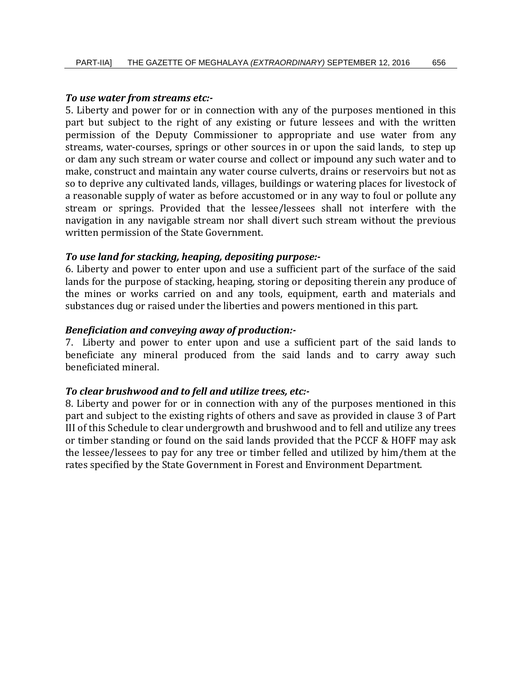### *To use water from streams etc:*

5. Liberty and power for or in connection with any of the purposes mentioned in this part but subject to the right of any existing or future lessees and with the written permission of the Deputy Commissioner to appropriate and use water from any streams, water‐courses, springs or other sources in or upon the said lands, to step up or dam any such stream or water course and collect or impound any such water and to make, construct and maintain any water course culverts, drains or reservoirs but not as so to deprive any cultivated lands, villages, buildings or watering places for livestock of a reasonable supply of water as before accustomed or in any way to foul or pollute any stream or springs. Provided that the lessee/lessees shall not interfere with the navigation in any navigable stream nor shall divert such stream without the previous written permission of the State Government.

### *To use land for stacking, heaping, depositing purpose:*

6. Liberty and power to enter upon and use a sufficient part of the surface of the said lands for the purpose of stacking, heaping, storing or depositing therein any produce of the mines or works carried on and any tools, equipment, earth and materials and substances dug or raised under the liberties and powers mentioned in this part.

### *Beneficiation and conveying away of production:*

7. Liberty and power to enter upon and use a sufficient part of the said lands to beneficiate any mineral produced from the said lands and to carry away such beneficiated mineral.

### *To clear brushwood and to fell and utilize trees, etc:*

8. Liberty and power for or in connection with any of the purposes mentioned in this part and subject to the existing rights of others and save as provided in clause 3 of Part III of this Schedule to clear undergrowth and brushwood and to fell and utilize any trees or timber standing or found on the said lands provided that the PCCF & HOFF may ask the lessee/lessees to pay for any tree or timber felled and utilized by him/them at the rates specified by the State Government in Forest and Environment Department.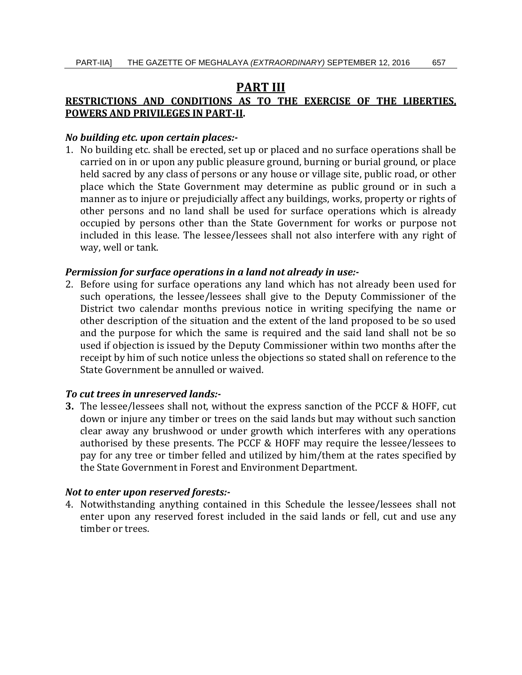# **PART III**

# **RESTRICTIONS AND CONDITIONS AS TO THE EXERCISE OF THE LIBERTIES, POWERS AND PRIVILEGES IN PARTII.**

### *No building etc. upon certain places:*

1. No building etc. shall be erected, set up or placed and no surface operations shall be carried on in or upon any public pleasure ground, burning or burial ground, or place held sacred by any class of persons or any house or village site, public road, or other place which the State Government may determine as public ground or in such a manner as to injure or prejudicially affect any buildings, works, property or rights of other persons and no land shall be used for surface operations which is already occupied by persons other than the State Government for works or purpose not included in this lease. The lessee/lessees shall not also interfere with any right of way, well or tank.

### *Permission for surface operations in a land not already in use:*

2. Before using for surface operations any land which has not already been used for such operations, the lessee/lessees shall give to the Deputy Commissioner of the District two calendar months previous notice in writing specifying the name or other description of the situation and the extent of the land proposed to be so used and the purpose for which the same is required and the said land shall not be so used if objection is issued by the Deputy Commissioner within two months after the receipt by him of such notice unless the objections so stated shall on reference to the State Government be annulled or waived.

### *To cut trees in unreserved lands:*

**3.** The lessee/lessees shall not, without the express sanction of the PCCF & HOFF, cut down or injure any timber or trees on the said lands but may without such sanction clear away any brushwood or under growth which interferes with any operations authorised by these presents. The PCCF & HOFF may require the lessee/lessees to pay for any tree or timber felled and utilized by him/them at the rates specified by the State Government in Forest and Environment Department.

### *Not to enter upon reserved forests:*

4. Notwithstanding anything contained in this Schedule the lessee/lessees shall not enter upon any reserved forest included in the said lands or fell, cut and use any timber or trees.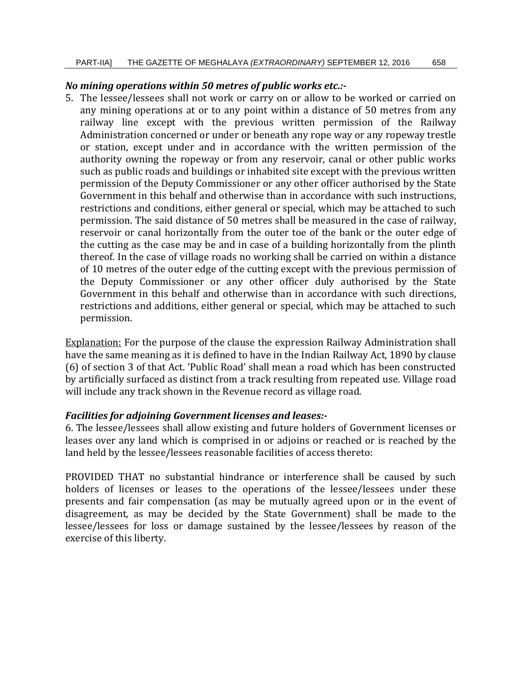### *No mining operations within 50 metres of public works etc.:*

5. The lessee/lessees shall not work or carry on or allow to be worked or carried on any mining operations at or to any point within a distance of 50 metres from any railway line except with the previous written permission of the Railway Administration concerned or under or beneath any rope way or any ropeway trestle or station, except under and in accordance with the written permission of the authority owning the ropeway or from any reservoir, canal or other public works such as public roads and buildings or inhabited site except with the previous written permission of the Deputy Commissioner or any other officer authorised by the State Government in this behalf and otherwise than in accordance with such instructions, restrictions and conditions, either general or special, which may be attached to such permission. The said distance of 50 metres shall be measured in the case of railway, reservoir or canal horizontally from the outer toe of the bank or the outer edge of the cutting as the case may be and in case of a building horizontally from the plinth thereof. In the case of village roads no working shall be carried on within a distance of 10 metres of the outer edge of the cutting except with the previous permission of the Deputy Commissioner or any other officer duly authorised by the State Government in this behalf and otherwise than in accordance with such directions, restrictions and additions, either general or special, which may be attached to such permission.

Explanation: For the purpose of the clause the expression Railway Administration shall have the same meaning as it is defined to have in the Indian Railway Act, 1890 by clause (6) of section 3 of that Act. 'Public Road' shall mean a road which has been constructed by artificially surfaced as distinct from a track resulting from repeated use. Village road will include any track shown in the Revenue record as village road.

#### *Facilities for adjoining Government licenses and leases:*

6. The lessee/lessees shall allow existing and future holders of Government licenses or leases over any land which is comprised in or adjoins or reached or is reached by the land held by the lessee/lessees reasonable facilities of access thereto:

PROVIDED THAT no substantial hindrance or interference shall be caused by such holders of licenses or leases to the operations of the lessee/lessees under these presents and fair compensation (as may be mutually agreed upon or in the event of disagreement, as may be decided by the State Government) shall be made to the lessee/lessees for loss or damage sustained by the lessee/lessees by reason of the exercise of this liberty.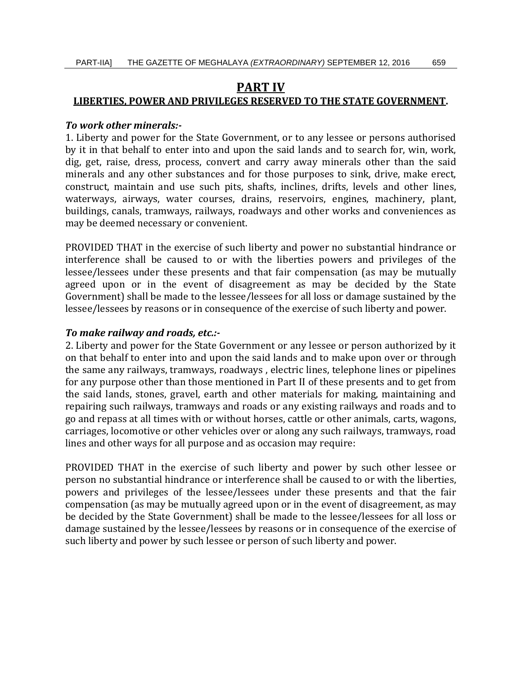# **PART IV**

# **LIBERTIES, POWER AND PRIVILEGES RESERVED TO THE STATE GOVERNMENT.**

### *To work other minerals:*

1. Liberty and power for the State Government, or to any lessee or persons authorised by it in that behalf to enter into and upon the said lands and to search for, win, work, dig, get, raise, dress, process, convert and carry away minerals other than the said minerals and any other substances and for those purposes to sink, drive, make erect, construct, maintain and use such pits, shafts, inclines, drifts, levels and other lines, waterways, airways, water courses, drains, reservoirs, engines, machinery, plant, buildings, canals, tramways, railways, roadways and other works and conveniences as may be deemed necessary or convenient.

PROVIDED THAT in the exercise of such liberty and power no substantial hindrance or interference shall be caused to or with the liberties powers and privileges of the lessee/lessees under these presents and that fair compensation (as may be mutually agreed upon or in the event of disagreement as may be decided by the State Government) shall be made to the lessee/lessees for all loss or damage sustained by the lessee/lessees by reasons or in consequence of the exercise of such liberty and power.

## *To make railway and roads, etc.:*

2. Liberty and power for the State Government or any lessee or person authorized by it on that behalf to enter into and upon the said lands and to make upon over or through the same any railways, tramways, roadways , electric lines, telephone lines or pipelines for any purpose other than those mentioned in Part II of these presents and to get from the said lands, stones, gravel, earth and other materials for making, maintaining and repairing such railways, tramways and roads or any existing railways and roads and to go and repass at all times with or without horses, cattle or other animals, carts, wagons, carriages, locomotive or other vehicles over or along any such railways, tramways, road lines and other ways for all purpose and as occasion may require:

PROVIDED THAT in the exercise of such liberty and power by such other lessee or person no substantial hindrance or interference shall be caused to or with the liberties, powers and privileges of the lessee/lessees under these presents and that the fair compensation (as may be mutually agreed upon or in the event of disagreement, as may be decided by the State Government) shall be made to the lessee/lessees for all loss or damage sustained by the lessee/lessees by reasons or in consequence of the exercise of such liberty and power by such lessee or person of such liberty and power.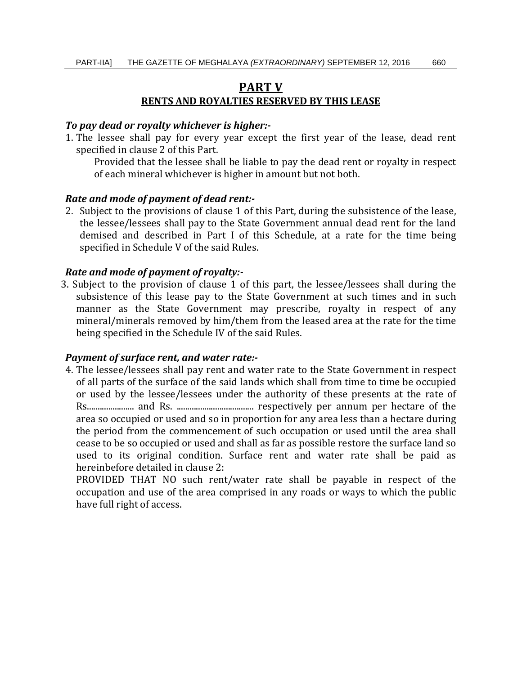## **PART V RENTS AND ROYALTIES RESERVED BY THIS LEASE**

#### *To pay dead or royalty whichever is higher:*

1. The lessee shall pay for every year except the first year of the lease, dead rent specified in clause 2 of this Part.

Provided that the lessee shall be liable to pay the dead rent or royalty in respect of each mineral whichever is higher in amount but not both.

# *Rate and mode of payment of dead rent:*

2. Subject to the provisions of clause 1 of this Part, during the subsistence of the lease, the lessee/lessees shall pay to the State Government annual dead rent for the land demised and described in Part I of this Schedule, at a rate for the time being specified in Schedule V of the said Rules.

## *Rate and mode of payment of royalty:*

 3. Subject to the provision of clause 1 of this part, the lessee/lessees shall during the subsistence of this lease pay to the State Government at such times and in such manner as the State Government may prescribe, royalty in respect of any mineral/minerals removed by him/them from the leased area at the rate for the time being specified in the Schedule IV of the said Rules.

#### *Payment of surface rent, and water rate:*

4. The lessee/lessees shall pay rent and water rate to the State Government in respect of all parts of the surface of the said lands which shall from time to time be occupied or used by the lessee/lessees under the authority of these presents at the rate of Rs...................... and Rs. .................................... respectively per annum per hectare of the area so occupied or used and so in proportion for any area less than a hectare during the period from the commencement of such occupation or used until the area shall cease to be so occupied or used and shall as far as possible restore the surface land so used to its original condition. Surface rent and water rate shall be paid as hereinbefore detailed in clause 2:

PROVIDED THAT NO such rent/water rate shall be payable in respect of the occupation and use of the area comprised in any roads or ways to which the public have full right of access.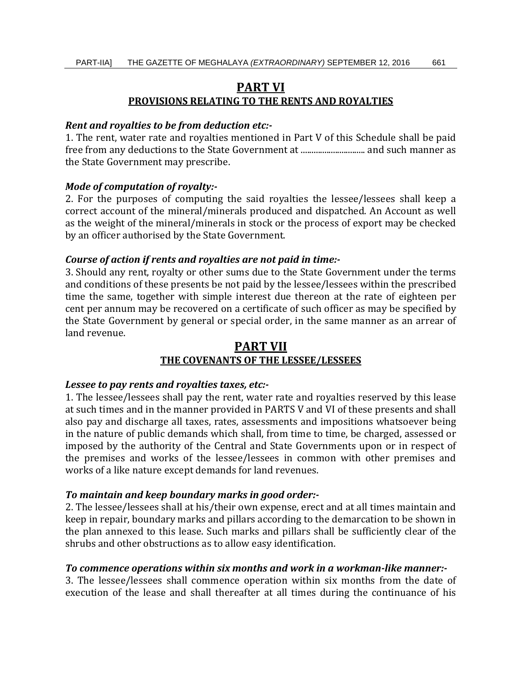# **PART VI PROVISIONS RELATING TO THE RENTS AND ROYALTIES**

### *Rent and royalties to be from deduction etc:*

1. The rent, water rate and royalties mentioned in Part V of this Schedule shall be paid free from any deductions to the State Government at .............................. and such manner as the State Government may prescribe.

### *Mode of computation of royalty:*

2. For the purposes of computing the said royalties the lessee/lessees shall keep a correct account of the mineral/minerals produced and dispatched. An Account as well as the weight of the mineral/minerals in stock or the process of export may be checked by an officer authorised by the State Government.

### *Course of action if rents and royalties are not paid in time:*

3. Should any rent, royalty or other sums due to the State Government under the terms and conditions of these presents be not paid by the lessee/lessees within the prescribed time the same, together with simple interest due thereon at the rate of eighteen per cent per annum may be recovered on a certificate of such officer as may be specified by the State Government by general or special order, in the same manner as an arrear of land revenue.

# **PART VII THE COVENANTS OF THE LESSEE/LESSEES**

#### *Lessee to pay rents and royalties taxes, etc:*

1. The lessee/lessees shall pay the rent, water rate and royalties reserved by this lease at such times and in the manner provided in PARTS V and VI of these presents and shall also pay and discharge all taxes, rates, assessments and impositions whatsoever being in the nature of public demands which shall, from time to time, be charged, assessed or imposed by the authority of the Central and State Governments upon or in respect of the premises and works of the lessee/lessees in common with other premises and works of a like nature except demands for land revenues.

### *To maintain and keep boundary marks in good order:*

2. The lessee/lessees shall at his/their own expense, erect and at all times maintain and keep in repair, boundary marks and pillars according to the demarcation to be shown in the plan annexed to this lease. Such marks and pillars shall be sufficiently clear of the shrubs and other obstructions as to allow easy identification.

### *To commence operations within six months and work in a workmanlike manner:*

3. The lessee/lessees shall commence operation within six months from the date of execution of the lease and shall thereafter at all times during the continuance of his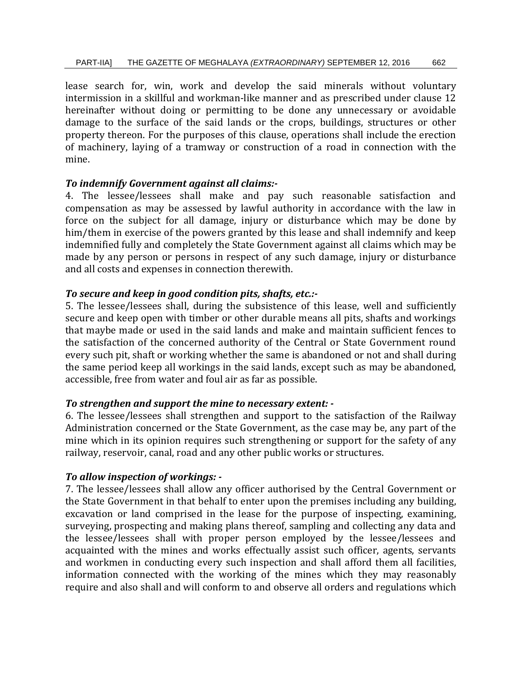lease search for, win, work and develop the said minerals without voluntary intermission in a skillful and workman-like manner and as prescribed under clause 12 hereinafter without doing or permitting to be done any unnecessary or avoidable damage to the surface of the said lands or the crops, buildings, structures or other property thereon. For the purposes of this clause, operations shall include the erection of machinery, laying of a tramway or construction of a road in connection with the mine.

# *To indemnify Government against all claims:*

4. The lessee/lessees shall make and pay such reasonable satisfaction and compensation as may be assessed by lawful authority in accordance with the law in force on the subject for all damage, injury or disturbance which may be done by him/them in exercise of the powers granted by this lease and shall indemnify and keep indemnified fully and completely the State Government against all claims which may be made by any person or persons in respect of any such damage, injury or disturbance and all costs and expenses in connection therewith.

# *To secure and keep in good condition pits, shafts, etc.:*

5. The lessee/lessees shall, during the subsistence of this lease, well and sufficiently secure and keep open with timber or other durable means all pits, shafts and workings that maybe made or used in the said lands and make and maintain sufficient fences to the satisfaction of the concerned authority of the Central or State Government round every such pit, shaft or working whether the same is abandoned or not and shall during the same period keep all workings in the said lands, except such as may be abandoned, accessible, free from water and foul air as far as possible.

# *To strengthen and support the mine to necessary extent:*

6. The lessee/lessees shall strengthen and support to the satisfaction of the Railway Administration concerned or the State Government, as the case may be, any part of the mine which in its opinion requires such strengthening or support for the safety of any railway, reservoir, canal, road and any other public works or structures.

### *To allow inspection of workings:*

7. The lessee/lessees shall allow any officer authorised by the Central Government or the State Government in that behalf to enter upon the premises including any building, excavation or land comprised in the lease for the purpose of inspecting, examining, surveying, prospecting and making plans thereof, sampling and collecting any data and the lessee/lessees shall with proper person employed by the lessee/lessees and acquainted with the mines and works effectually assist such officer, agents, servants and workmen in conducting every such inspection and shall afford them all facilities, information connected with the working of the mines which they may reasonably require and also shall and will conform to and observe all orders and regulations which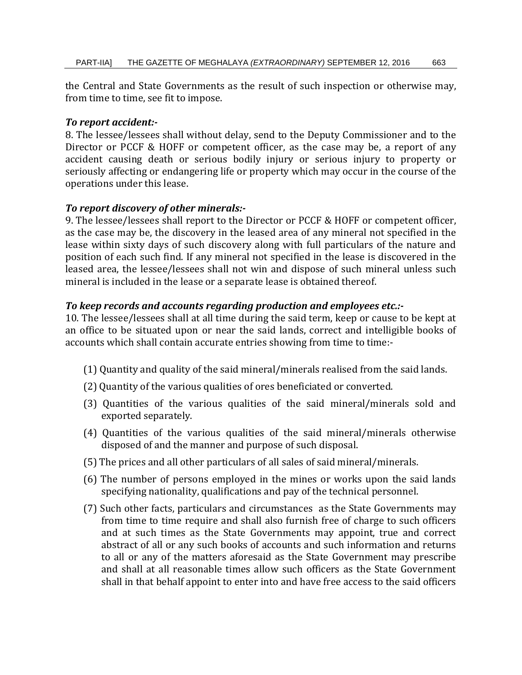the Central and State Governments as the result of such inspection or otherwise may, from time to time, see fit to impose.

## *To report accident:*

8. The lessee/lessees shall without delay, send to the Deputy Commissioner and to the Director or PCCF & HOFF or competent officer, as the case may be, a report of any accident causing death or serious bodily injury or serious injury to property or seriously affecting or endangering life or property which may occur in the course of the operations under this lease.

# *To report discovery of other minerals:*

9. The lessee/lessees shall report to the Director or PCCF & HOFF or competent officer, as the case may be, the discovery in the leased area of any mineral not specified in the lease within sixty days of such discovery along with full particulars of the nature and position of each such find. If any mineral not specified in the lease is discovered in the leased area, the lessee/lessees shall not win and dispose of such mineral unless such mineral is included in the lease or a separate lease is obtained thereof.

# *To keep records and accounts regarding production and employees etc.:*

10. The lessee/lessees shall at all time during the said term, keep or cause to be kept at an office to be situated upon or near the said lands, correct and intelligible books of accounts which shall contain accurate entries showing from time to time:-

- (1) Quantity and quality of the said mineral/minerals realised from the said lands.
- (2) Quantity of the various qualities of ores beneficiated or converted.
- (3) Quantities of the various qualities of the said mineral/minerals sold and exported separately.
- (4) Quantities of the various qualities of the said mineral/minerals otherwise disposed of and the manner and purpose of such disposal.
- (5) The prices and all other particulars of all sales of said mineral/minerals.
- (6) The number of persons employed in the mines or works upon the said lands specifying nationality, qualifications and pay of the technical personnel.
- (7) Such other facts, particulars and circumstances as the State Governments may from time to time require and shall also furnish free of charge to such officers and at such times as the State Governments may appoint, true and correct abstract of all or any such books of accounts and such information and returns to all or any of the matters aforesaid as the State Government may prescribe and shall at all reasonable times allow such officers as the State Government shall in that behalf appoint to enter into and have free access to the said officers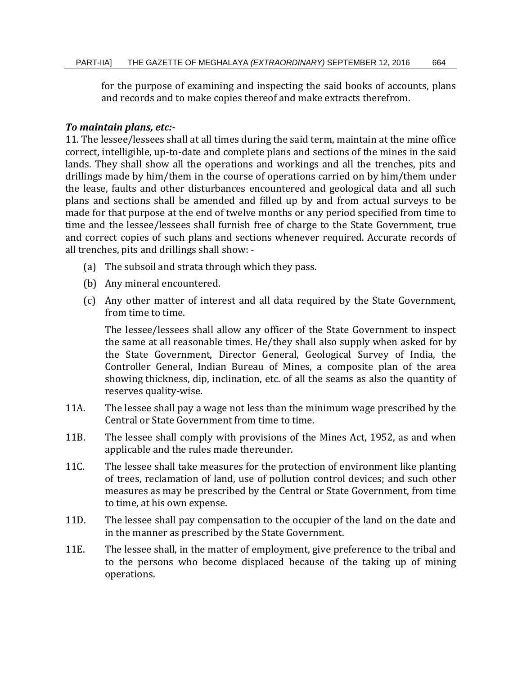for the purpose of examining and inspecting the said books of accounts, plans and records and to make copies thereof and make extracts therefrom.

## *To maintain plans, etc:*

11. The lessee/lessees shall at all times during the said term, maintain at the mine office correct, intelligible, up‐to‐date and complete plans and sections of the mines in the said lands. They shall show all the operations and workings and all the trenches, pits and drillings made by him/them in the course of operations carried on by him/them under the lease, faults and other disturbances encountered and geological data and all such plans and sections shall be amended and filled up by and from actual surveys to be made for that purpose at the end of twelve months or any period specified from time to time and the lessee/lessees shall furnish free of charge to the State Government, true and correct copies of such plans and sections whenever required. Accurate records of all trenches, pits and drillings shall show: ‐

- (a) The subsoil and strata through which they pass.
- (b) Any mineral encountered.
- (c) Any other matter of interest and all data required by the State Government, from time to time.

 The lessee/lessees shall allow any officer of the State Government to inspect the same at all reasonable times. He/they shall also supply when asked for by the State Government, Director General, Geological Survey of India, the Controller General, Indian Bureau of Mines, a composite plan of the area showing thickness, dip, inclination, etc. of all the seams as also the quantity of reserves quality‐wise.

- 11A. The lessee shall pay a wage not less than the minimum wage prescribed by the Central or State Government from time to time.
- 11B. The lessee shall comply with provisions of the Mines Act, 1952, as and when applicable and the rules made thereunder.
- 11C. The lessee shall take measures for the protection of environment like planting of trees, reclamation of land, use of pollution control devices; and such other measures as may be prescribed by the Central or State Government, from time to time, at his own expense.
- 11D. The lessee shall pay compensation to the occupier of the land on the date and in the manner as prescribed by the State Government.
- 11E. The lessee shall, in the matter of employment, give preference to the tribal and to the persons who become displaced because of the taking up of mining operations.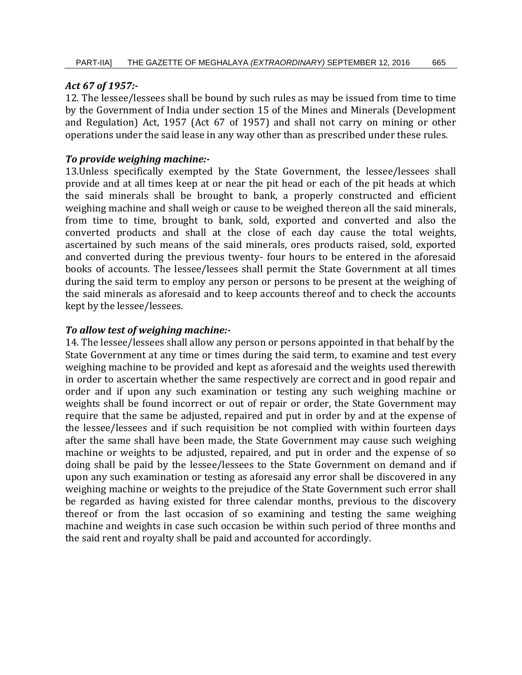### *Act 67 of 1957:*

12. The lessee/lessees shall be bound by such rules as may be issued from time to time by the Government of India under section 15 of the Mines and Minerals (Development and Regulation) Act, 1957 (Act 67 of 1957) and shall not carry on mining or other operations under the said lease in any way other than as prescribed under these rules.

### *To provide weighing machine:*

13.Unless specifically exempted by the State Government, the lessee/lessees shall provide and at all times keep at or near the pit head or each of the pit heads at which the said minerals shall be brought to bank, a properly constructed and efficient weighing machine and shall weigh or cause to be weighed thereon all the said minerals, from time to time, brought to bank, sold, exported and converted and also the converted products and shall at the close of each day cause the total weights, ascertained by such means of the said minerals, ores products raised, sold, exported and converted during the previous twenty- four hours to be entered in the aforesaid books of accounts. The lessee/lessees shall permit the State Government at all times during the said term to employ any person or persons to be present at the weighing of the said minerals as aforesaid and to keep accounts thereof and to check the accounts kept by the lessee/lessees.

### *To allow test of weighing machine:*

14. The lessee/lessees shall allow any person or persons appointed in that behalf by the State Government at any time or times during the said term, to examine and test every weighing machine to be provided and kept as aforesaid and the weights used therewith in order to ascertain whether the same respectively are correct and in good repair and order and if upon any such examination or testing any such weighing machine or weights shall be found incorrect or out of repair or order, the State Government may require that the same be adjusted, repaired and put in order by and at the expense of the lessee/lessees and if such requisition be not complied with within fourteen days after the same shall have been made, the State Government may cause such weighing machine or weights to be adjusted, repaired, and put in order and the expense of so doing shall be paid by the lessee/lessees to the State Government on demand and if upon any such examination or testing as aforesaid any error shall be discovered in any weighing machine or weights to the prejudice of the State Government such error shall be regarded as having existed for three calendar months, previous to the discovery thereof or from the last occasion of so examining and testing the same weighing machine and weights in case such occasion be within such period of three months and the said rent and royalty shall be paid and accounted for accordingly.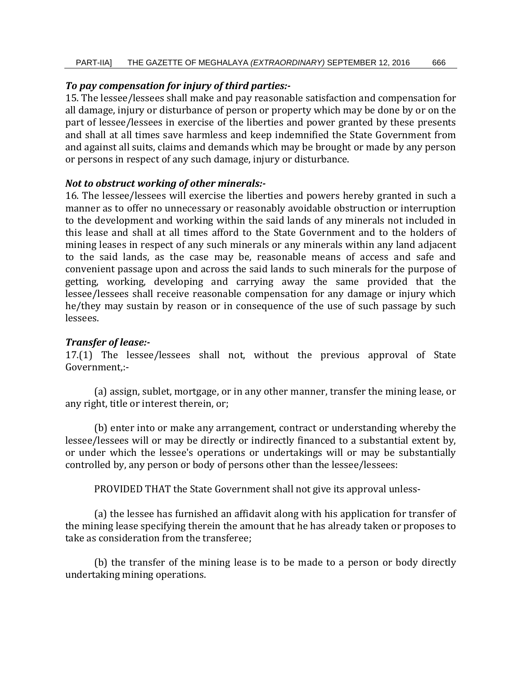# *To pay compensation for injury of third parties:*

15. The lessee/lessees shall make and pay reasonable satisfaction and compensation for all damage, injury or disturbance of person or property which may be done by or on the part of lessee/lessees in exercise of the liberties and power granted by these presents and shall at all times save harmless and keep indemnified the State Government from and against all suits, claims and demands which may be brought or made by any person or persons in respect of any such damage, injury or disturbance.

# *Not to obstruct working of other minerals:*

16. The lessee/lessees will exercise the liberties and powers hereby granted in such a manner as to offer no unnecessary or reasonably avoidable obstruction or interruption to the development and working within the said lands of any minerals not included in this lease and shall at all times afford to the State Government and to the holders of mining leases in respect of any such minerals or any minerals within any land adjacent to the said lands, as the case may be, reasonable means of access and safe and convenient passage upon and across the said lands to such minerals for the purpose of getting, working, developing and carrying away the same provided that the lessee/lessees shall receive reasonable compensation for any damage or injury which he/they may sustain by reason or in consequence of the use of such passage by such lessees.

# *Transfer of lease:*

17.(1) The lessee/lessees shall not, without the previous approval of State Government,:‐

(a) assign, sublet, mortgage, or in any other manner, transfer the mining lease, or any right, title or interest therein, or;

(b) enter into or make any arrangement, contract or understanding whereby the lessee/lessees will or may be directly or indirectly financed to a substantial extent by, or under which the lessee's operations or undertakings will or may be substantially controlled by, any person or body of persons other than the lessee/lessees:

PROVIDED THAT the State Government shall not give its approval unless‐

(a) the lessee has furnished an affidavit along with his application for transfer of the mining lease specifying therein the amount that he has already taken or proposes to take as consideration from the transferee;

(b) the transfer of the mining lease is to be made to a person or body directly undertaking mining operations.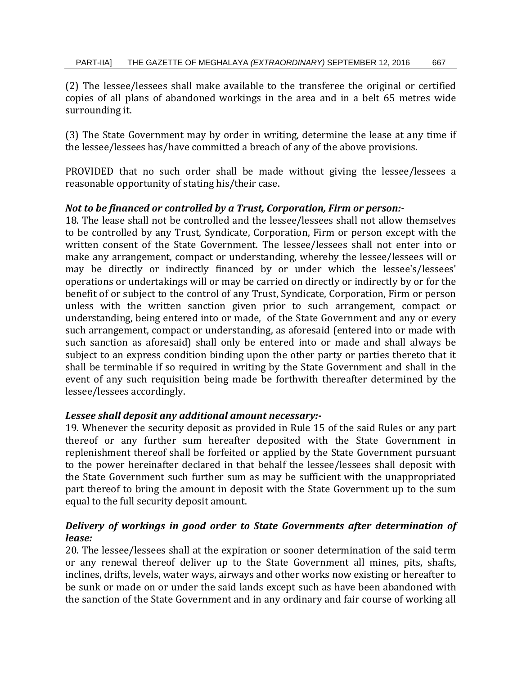(2) The lessee/lessees shall make available to the transferee the original or certified copies of all plans of abandoned workings in the area and in a belt 65 metres wide surrounding it.

(3) The State Government may by order in writing, determine the lease at any time if the lessee/lessees has/have committed a breach of any of the above provisions.

PROVIDED that no such order shall be made without giving the lessee/lessees a reasonable opportunity of stating his/their case.

# *Not to be financed or controlled by a Trust, Corporation, Firm or person:*

18. The lease shall not be controlled and the lessee/lessees shall not allow themselves to be controlled by any Trust, Syndicate, Corporation, Firm or person except with the written consent of the State Government. The lessee/lessees shall not enter into or make any arrangement, compact or understanding, whereby the lessee/lessees will or may be directly or indirectly financed by or under which the lessee's/lessees' operations or undertakings will or may be carried on directly or indirectly by or for the benefit of or subject to the control of any Trust, Syndicate, Corporation, Firm or person unless with the written sanction given prior to such arrangement, compact or understanding, being entered into or made, of the State Government and any or every such arrangement, compact or understanding, as aforesaid (entered into or made with such sanction as aforesaid) shall only be entered into or made and shall always be subject to an express condition binding upon the other party or parties thereto that it shall be terminable if so required in writing by the State Government and shall in the event of any such requisition being made be forthwith thereafter determined by the lessee/lessees accordingly.

# *Lessee shall deposit any additional amount necessary:*

19. Whenever the security deposit as provided in Rule 15 of the said Rules or any part thereof or any further sum hereafter deposited with the State Government in replenishment thereof shall be forfeited or applied by the State Government pursuant to the power hereinafter declared in that behalf the lessee/lessees shall deposit with the State Government such further sum as may be sufficient with the unappropriated part thereof to bring the amount in deposit with the State Government up to the sum equal to the full security deposit amount.

# *Delivery of workings in good order to State Governments after determination of lease:*

20. The lessee/lessees shall at the expiration or sooner determination of the said term or any renewal thereof deliver up to the State Government all mines, pits, shafts, inclines, drifts, levels, water ways, airways and other works now existing or hereafter to be sunk or made on or under the said lands except such as have been abandoned with the sanction of the State Government and in any ordinary and fair course of working all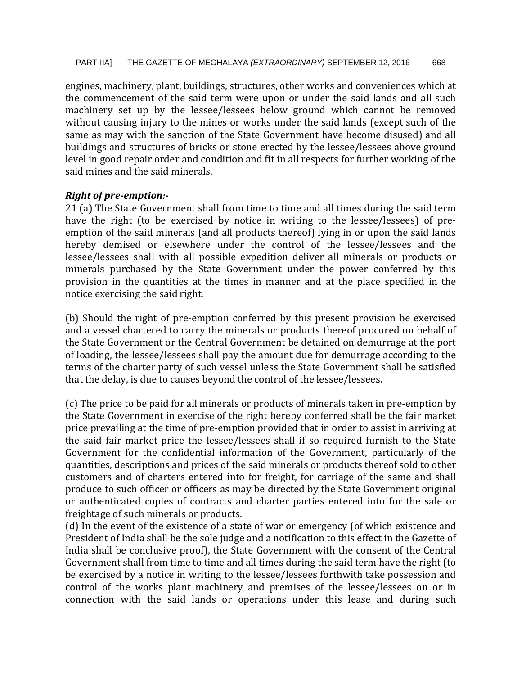engines, machinery, plant, buildings, structures, other works and conveniences which at the commencement of the said term were upon or under the said lands and all such machinery set up by the lessee/lessees below ground which cannot be removed without causing injury to the mines or works under the said lands (except such of the same as may with the sanction of the State Government have become disused) and all buildings and structures of bricks or stone erected by the lessee/lessees above ground level in good repair order and condition and fit in all respects for further working of the said mines and the said minerals.

# *Right of preemption:*

21 (a) The State Government shall from time to time and all times during the said term have the right (to be exercised by notice in writing to the lessee/lessees) of preemption of the said minerals (and all products thereof) lying in or upon the said lands hereby demised or elsewhere under the control of the lessee/lessees and the lessee/lessees shall with all possible expedition deliver all minerals or products or minerals purchased by the State Government under the power conferred by this provision in the quantities at the times in manner and at the place specified in the notice exercising the said right.

(b) Should the right of pre‐emption conferred by this present provision be exercised and a vessel chartered to carry the minerals or products thereof procured on behalf of the State Government or the Central Government be detained on demurrage at the port of loading, the lessee/lessees shall pay the amount due for demurrage according to the terms of the charter party of such vessel unless the State Government shall be satisfied that the delay, is due to causes beyond the control of the lessee/lessees.

(c) The price to be paid for all minerals or products of minerals taken in pre‐emption by the State Government in exercise of the right hereby conferred shall be the fair market price prevailing at the time of pre‐emption provided that in order to assist in arriving at the said fair market price the lessee/lessees shall if so required furnish to the State Government for the confidential information of the Government, particularly of the quantities, descriptions and prices of the said minerals or products thereof sold to other customers and of charters entered into for freight, for carriage of the same and shall produce to such officer or officers as may be directed by the State Government original or authenticated copies of contracts and charter parties entered into for the sale or freightage of such minerals or products.

(d) In the event of the existence of a state of war or emergency (of which existence and President of India shall be the sole judge and a notification to this effect in the Gazette of India shall be conclusive proof), the State Government with the consent of the Central Government shall from time to time and all times during the said term have the right (to be exercised by a notice in writing to the lessee/lessees forthwith take possession and control of the works plant machinery and premises of the lessee/lessees on or in connection with the said lands or operations under this lease and during such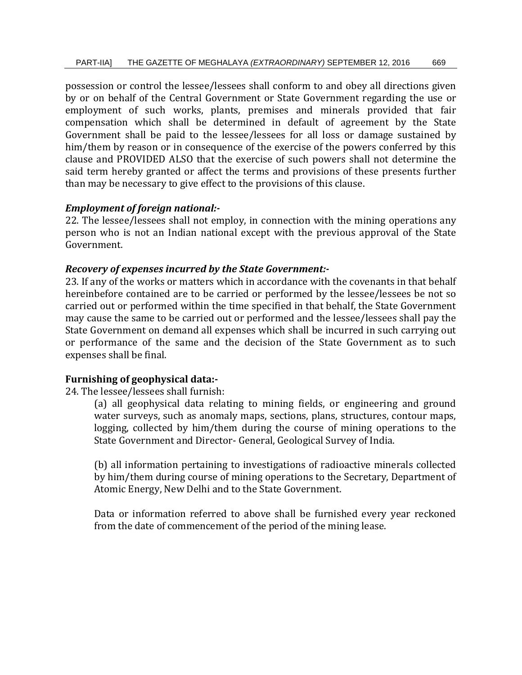possession or control the lessee/lessees shall conform to and obey all directions given by or on behalf of the Central Government or State Government regarding the use or employment of such works, plants, premises and minerals provided that fair compensation which shall be determined in default of agreement by the State Government shall be paid to the lessee/lessees for all loss or damage sustained by him/them by reason or in consequence of the exercise of the powers conferred by this clause and PROVIDED ALSO that the exercise of such powers shall not determine the said term hereby granted or affect the terms and provisions of these presents further than may be necessary to give effect to the provisions of this clause.

## *Employment of foreign national:*

22. The lessee/lessees shall not employ, in connection with the mining operations any person who is not an Indian national except with the previous approval of the State Government.

### *Recovery of expenses incurred by the State Government:*

23. If any of the works or matters which in accordance with the covenants in that behalf hereinbefore contained are to be carried or performed by the lessee/lessees be not so carried out or performed within the time specified in that behalf, the State Government may cause the same to be carried out or performed and the lessee/lessees shall pay the State Government on demand all expenses which shall be incurred in such carrying out or performance of the same and the decision of the State Government as to such expenses shall be final.

### **Furnishing of geophysical data:**

24. The lessee/lessees shall furnish:

(a) all geophysical data relating to mining fields, or engineering and ground water surveys, such as anomaly maps, sections, plans, structures, contour maps, logging, collected by him/them during the course of mining operations to the State Government and Director‐ General, Geological Survey of India.

(b) all information pertaining to investigations of radioactive minerals collected by him/them during course of mining operations to the Secretary, Department of Atomic Energy, New Delhi and to the State Government.

Data or information referred to above shall be furnished every year reckoned from the date of commencement of the period of the mining lease.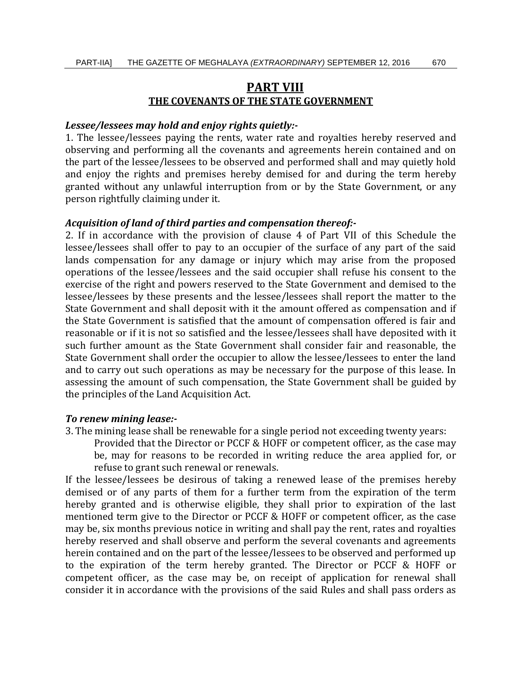# **PART VIII THE COVENANTS OF THE STATE GOVERNMENT**

### *Lessee/lessees may hold and enjoy rights quietly:*

1. The lessee/lessees paying the rents, water rate and royalties hereby reserved and observing and performing all the covenants and agreements herein contained and on the part of the lessee/lessees to be observed and performed shall and may quietly hold and enjoy the rights and premises hereby demised for and during the term hereby granted without any unlawful interruption from or by the State Government, or any person rightfully claiming under it.

### *Acquisition of land of third parties and compensation thereof:*

2. If in accordance with the provision of clause 4 of Part VII of this Schedule the lessee/lessees shall offer to pay to an occupier of the surface of any part of the said lands compensation for any damage or injury which may arise from the proposed operations of the lessee/lessees and the said occupier shall refuse his consent to the exercise of the right and powers reserved to the State Government and demised to the lessee/lessees by these presents and the lessee/lessees shall report the matter to the State Government and shall deposit with it the amount offered as compensation and if the State Government is satisfied that the amount of compensation offered is fair and reasonable or if it is not so satisfied and the lessee/lessees shall have deposited with it such further amount as the State Government shall consider fair and reasonable, the State Government shall order the occupier to allow the lessee/lessees to enter the land and to carry out such operations as may be necessary for the purpose of this lease. In assessing the amount of such compensation, the State Government shall be guided by the principles of the Land Acquisition Act.

#### *To renew mining lease:*

3. The mining lease shall be renewable for a single period not exceeding twenty years:

Provided that the Director or PCCF & HOFF or competent officer, as the case may be, may for reasons to be recorded in writing reduce the area applied for, or refuse to grant such renewal or renewals.

If the lessee/lessees be desirous of taking a renewed lease of the premises hereby demised or of any parts of them for a further term from the expiration of the term hereby granted and is otherwise eligible, they shall prior to expiration of the last mentioned term give to the Director or PCCF & HOFF or competent officer, as the case may be, six months previous notice in writing and shall pay the rent, rates and royalties hereby reserved and shall observe and perform the several covenants and agreements herein contained and on the part of the lessee/lessees to be observed and performed up to the expiration of the term hereby granted. The Director or PCCF & HOFF or competent officer, as the case may be, on receipt of application for renewal shall consider it in accordance with the provisions of the said Rules and shall pass orders as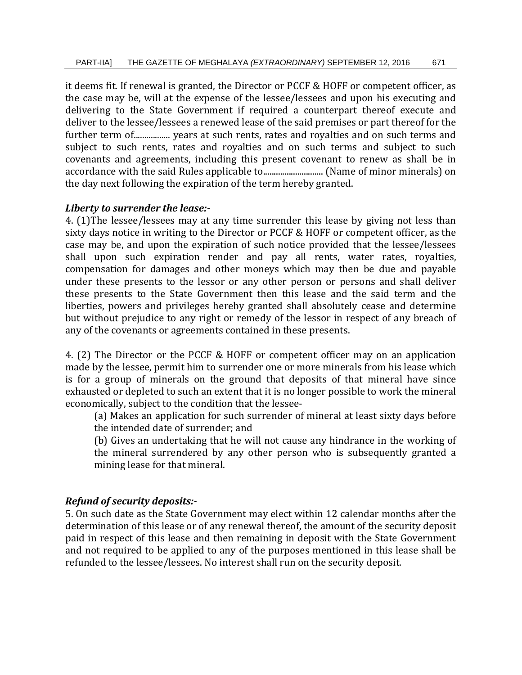it deems fit. If renewal is granted, the Director or PCCF & HOFF or competent officer, as the case may be, will at the expense of the lessee/lessees and upon his executing and delivering to the State Government if required a counterpart thereof execute and deliver to the lessee/lessees a renewed lease of the said premises or part thereof for the further term of................. years at such rents, rates and royalties and on such terms and subject to such rents, rates and royalties and on such terms and subject to such covenants and agreements, including this present covenant to renew as shall be in accordance with the said Rules applicable to............................ (Name of minor minerals) on the day next following the expiration of the term hereby granted.

# *Liberty to surrender the lease:*

4. (1)The lessee/lessees may at any time surrender this lease by giving not less than sixty days notice in writing to the Director or PCCF & HOFF or competent officer, as the case may be, and upon the expiration of such notice provided that the lessee/lessees shall upon such expiration render and pay all rents, water rates, royalties, compensation for damages and other moneys which may then be due and payable under these presents to the lessor or any other person or persons and shall deliver these presents to the State Government then this lease and the said term and the liberties, powers and privileges hereby granted shall absolutely cease and determine but without prejudice to any right or remedy of the lessor in respect of any breach of any of the covenants or agreements contained in these presents.

4. (2) The Director or the PCCF & HOFF or competent officer may on an application made by the lessee, permit him to surrender one or more minerals from his lease which is for a group of minerals on the ground that deposits of that mineral have since exhausted or depleted to such an extent that it is no longer possible to work the mineral economically, subject to the condition that the lessee‐

(a) Makes an application for such surrender of mineral at least sixty days before the intended date of surrender; and

(b) Gives an undertaking that he will not cause any hindrance in the working of the mineral surrendered by any other person who is subsequently granted a mining lease for that mineral.

# *Refund of security deposits:*

5. On such date as the State Government may elect within 12 calendar months after the determination of this lease or of any renewal thereof, the amount of the security deposit paid in respect of this lease and then remaining in deposit with the State Government and not required to be applied to any of the purposes mentioned in this lease shall be refunded to the lessee/lessees. No interest shall run on the security deposit.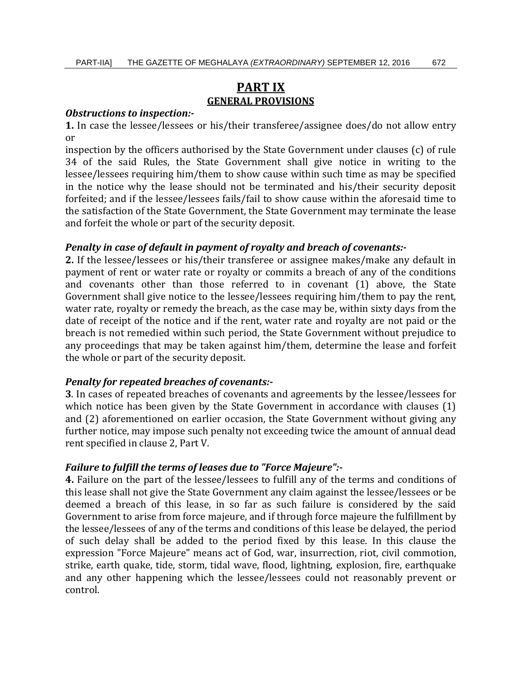# **PART IX GENERAL PROVISIONS**

### *Obstructions to inspection:*

**1.** In case the lessee/lessees or his/their transferee/assignee does/do not allow entry or

inspection by the officers authorised by the State Government under clauses (c) of rule 34 of the said Rules, the State Government shall give notice in writing to the lessee/lessees requiring him/them to show cause within such time as may be specified in the notice why the lease should not be terminated and his/their security deposit forfeited; and if the lessee/lessees fails/fail to show cause within the aforesaid time to the satisfaction of the State Government, the State Government may terminate the lease and forfeit the whole or part of the security deposit.

### *Penalty in case of default in payment of royalty and breach of covenants:*

**2.** If the lessee/lessees or his/their transferee or assignee makes/make any default in payment of rent or water rate or royalty or commits a breach of any of the conditions and covenants other than those referred to in covenant (1) above, the State Government shall give notice to the lessee/lessees requiring him/them to pay the rent, water rate, royalty or remedy the breach, as the case may be, within sixty days from the date of receipt of the notice and if the rent, water rate and royalty are not paid or the breach is not remedied within such period, the State Government without prejudice to any proceedings that may be taken against him/them, determine the lease and forfeit the whole or part of the security deposit.

### *Penalty for repeated breaches of covenants:*

**3**. In cases of repeated breaches of covenants and agreements by the lessee/lessees for which notice has been given by the State Government in accordance with clauses (1) and (2) aforementioned on earlier occasion, the State Government without giving any further notice, may impose such penalty not exceeding twice the amount of annual dead rent specified in clause 2, Part V.

### *Failure to fulfill the terms of leases due to "Force Majeure":*

**4.** Failure on the part of the lessee/lessees to fulfill any of the terms and conditions of this lease shall not give the State Government any claim against the lessee/lessees or be deemed a breach of this lease, in so far as such failure is considered by the said Government to arise from force majeure, and if through force majeure the fulfillment by the lessee/lessees of any of the terms and conditions of this lease be delayed, the period of such delay shall be added to the period fixed by this lease. In this clause the expression "Force Majeure" means act of God, war, insurrection, riot, civil commotion, strike, earth quake, tide, storm, tidal wave, flood, lightning, explosion, fire, earthquake and any other happening which the lessee/lessees could not reasonably prevent or control.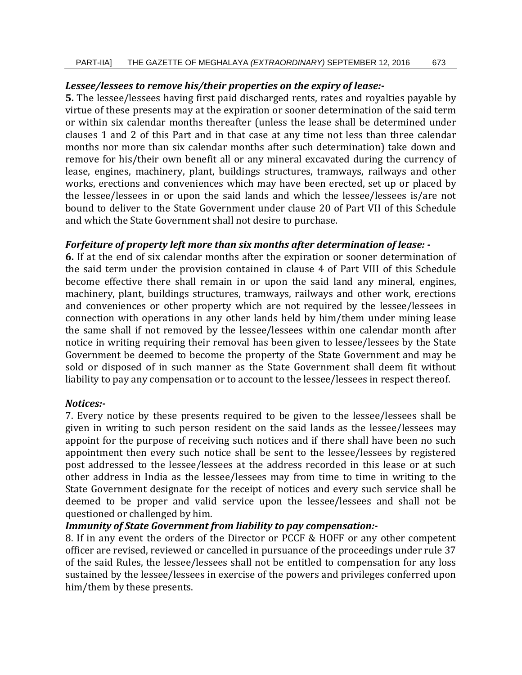## *Lessee/lessees to remove his/their properties on the expiry of lease:*

**5.** The lessee/lessees having first paid discharged rents, rates and royalties payable by virtue of these presents may at the expiration or sooner determination of the said term or within six calendar months thereafter (unless the lease shall be determined under clauses 1 and 2 of this Part and in that case at any time not less than three calendar months nor more than six calendar months after such determination) take down and remove for his/their own benefit all or any mineral excavated during the currency of lease, engines, machinery, plant, buildings structures, tramways, railways and other works, erections and conveniences which may have been erected, set up or placed by the lessee/lessees in or upon the said lands and which the lessee/lessees is/are not bound to deliver to the State Government under clause 20 of Part VII of this Schedule and which the State Government shall not desire to purchase.

### *Forfeiture of property left more than six months after determination of lease:*

**6.** If at the end of six calendar months after the expiration or sooner determination of the said term under the provision contained in clause 4 of Part VIII of this Schedule become effective there shall remain in or upon the said land any mineral, engines, machinery, plant, buildings structures, tramways, railways and other work, erections and conveniences or other property which are not required by the lessee/lessees in connection with operations in any other lands held by him/them under mining lease the same shall if not removed by the lessee/lessees within one calendar month after notice in writing requiring their removal has been given to lessee/lessees by the State Government be deemed to become the property of the State Government and may be sold or disposed of in such manner as the State Government shall deem fit without liability to pay any compensation or to account to the lessee/lessees in respect thereof.

### *Notices:*

7. Every notice by these presents required to be given to the lessee/lessees shall be given in writing to such person resident on the said lands as the lessee/lessees may appoint for the purpose of receiving such notices and if there shall have been no such appointment then every such notice shall be sent to the lessee/lessees by registered post addressed to the lessee/lessees at the address recorded in this lease or at such other address in India as the lessee/lessees may from time to time in writing to the State Government designate for the receipt of notices and every such service shall be deemed to be proper and valid service upon the lessee/lessees and shall not be questioned or challenged by him.

## *Immunity of State Government from liability to pay compensation:*

8. If in any event the orders of the Director or PCCF & HOFF or any other competent officer are revised, reviewed or cancelled in pursuance of the proceedings under rule 37 of the said Rules, the lessee/lessees shall not be entitled to compensation for any loss sustained by the lessee/lessees in exercise of the powers and privileges conferred upon him/them by these presents.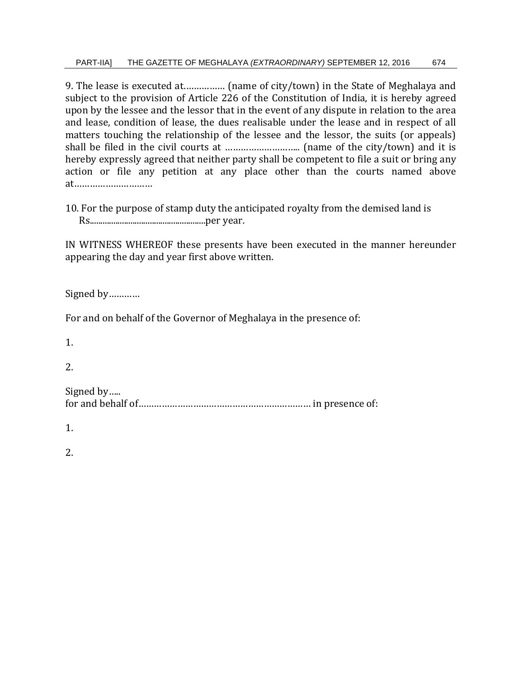9. The lease is executed at.…………… (name of city/town) in the State of Meghalaya and subject to the provision of Article 226 of the Constitution of India, it is hereby agreed upon by the lessee and the lessor that in the event of any dispute in relation to the area and lease, condition of lease, the dues realisable under the lease and in respect of all matters touching the relationship of the lessee and the lessor, the suits (or appeals) shall be filed in the civil courts at ……………………….. (name of the city/town) and it is hereby expressly agreed that neither party shall be competent to file a suit or bring any action or file any petition at any place other than the courts named above at…………………………

10. For the purpose of stamp duty the anticipated royalty from the demised land is Rs......................................................per year.

IN WITNESS WHEREOF these presents have been executed in the manner hereunder appearing the day and year first above written.

Signed by…………

For and on behalf of the Governor of Meghalaya in the presence of:

1.

2.

Signed by….. for and behalf of………………………………………………………… in presence of:

1.

2.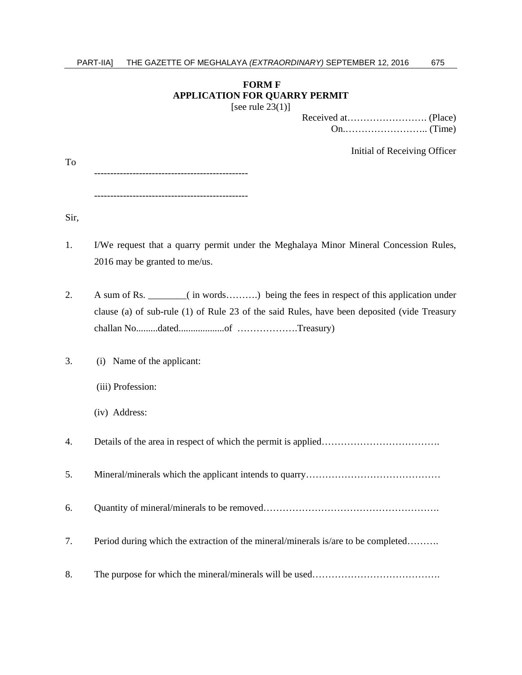### **FORM F APPLICATION FOR QUARRY PERMIT**  [see rule 23(1)]

Received at……………………. (Place) On.…………………….. (Time)

Initial of Receiving Officer

| To |  |
|----|--|
|    |  |
|    |  |

Sir,

- 1. I/We request that a quarry permit under the Meghalaya Minor Mineral Concession Rules, 2016 may be granted to me/us.
- 2. A sum of Rs. \_\_\_\_\_\_( in words……….) being the fees in respect of this application under clause (a) of sub-rule (1) of Rule 23 of the said Rules, have been deposited (vide Treasury challan No.........dated...................of ……………….Treasury)
- 3. (i) Name of the applicant:
	- (iii) Profession:
	- (iv) Address:

| 4. |                                                                                   |
|----|-----------------------------------------------------------------------------------|
| 5. |                                                                                   |
| 6. |                                                                                   |
| 7. | Period during which the extraction of the mineral/minerals is/are to be completed |
| 8. |                                                                                   |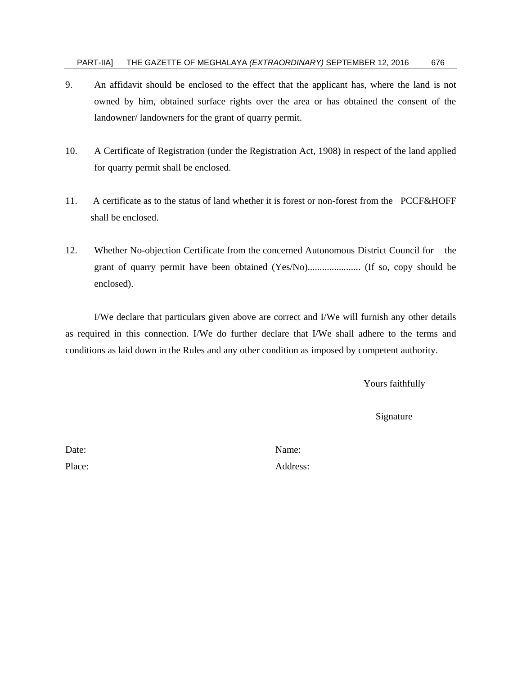- 9. An affidavit should be enclosed to the effect that the applicant has, where the land is not owned by him, obtained surface rights over the area or has obtained the consent of the landowner/ landowners for the grant of quarry permit.
- 10. A Certificate of Registration (under the Registration Act, 1908) in respect of the land applied for quarry permit shall be enclosed.
- 11. A certificate as to the status of land whether it is forest or non-forest from the PCCF&HOFF shall be enclosed.
- 12. Whether No-objection Certificate from the concerned Autonomous District Council for the grant of quarry permit have been obtained (Yes/No)...................... (If so, copy should be enclosed).

I/We declare that particulars given above are correct and I/We will furnish any other details as required in this connection. I/We do further declare that I/We shall adhere to the terms and conditions as laid down in the Rules and any other condition as imposed by competent authority.

Yours faithfully

Signature

Date: Name: Place: Address: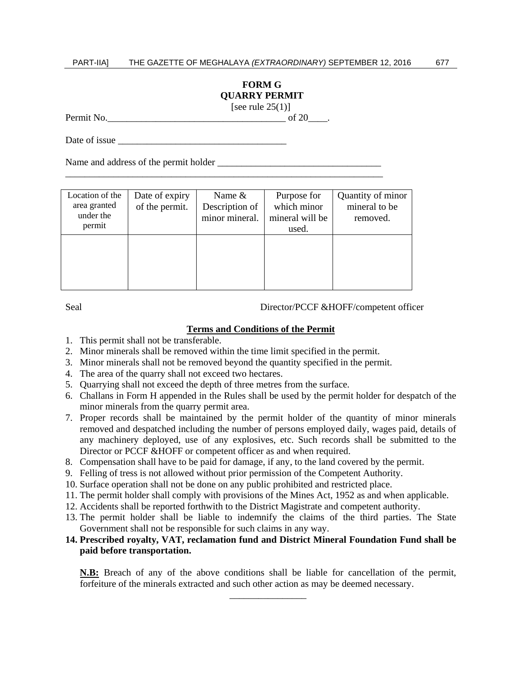# **FORM G QUARRY PERMIT**

[see rule  $25(1)$ ]

Permit No.\_\_\_\_\_\_\_\_\_\_\_\_\_\_\_\_\_\_\_\_\_\_\_\_\_\_\_\_\_\_\_\_\_\_\_\_\_ of 20\_\_\_\_.

Date of issue \_\_\_\_\_\_\_\_\_\_\_\_\_\_\_\_\_\_\_\_\_\_\_\_\_\_\_\_\_\_\_\_\_\_\_

Name and address of the permit holder \_\_\_\_\_\_\_\_\_\_\_\_\_\_\_\_\_\_\_\_\_\_\_\_\_\_\_\_\_\_\_\_\_\_

| Location of the<br>area granted<br>under the<br>permit | Date of expiry<br>of the permit. | Name $\&$<br>Description of<br>minor mineral. | Purpose for<br>which minor<br>mineral will be<br>used. | Quantity of minor<br>mineral to be<br>removed. |
|--------------------------------------------------------|----------------------------------|-----------------------------------------------|--------------------------------------------------------|------------------------------------------------|
|                                                        |                                  |                                               |                                                        |                                                |

\_\_\_\_\_\_\_\_\_\_\_\_\_\_\_\_\_\_\_\_\_\_\_\_\_\_\_\_\_\_\_\_\_\_\_\_\_\_\_\_\_\_\_\_\_\_\_\_\_\_\_\_\_\_\_\_\_\_\_\_\_\_\_\_\_\_

Seal Director/PCCF &HOFF/competent officer

#### **Terms and Conditions of the Permit**

- 1. This permit shall not be transferable.
- 2. Minor minerals shall be removed within the time limit specified in the permit.
- 3. Minor minerals shall not be removed beyond the quantity specified in the permit.
- 4. The area of the quarry shall not exceed two hectares.
- 5. Quarrying shall not exceed the depth of three metres from the surface.
- 6. Challans in Form H appended in the Rules shall be used by the permit holder for despatch of the minor minerals from the quarry permit area.
- 7. Proper records shall be maintained by the permit holder of the quantity of minor minerals removed and despatched including the number of persons employed daily, wages paid, details of any machinery deployed, use of any explosives, etc. Such records shall be submitted to the Director or PCCF &HOFF or competent officer as and when required.
- 8. Compensation shall have to be paid for damage, if any, to the land covered by the permit.
- 9. Felling of tress is not allowed without prior permission of the Competent Authority.
- 10. Surface operation shall not be done on any public prohibited and restricted place.
- 11. The permit holder shall comply with provisions of the Mines Act, 1952 as and when applicable.
- 12. Accidents shall be reported forthwith to the District Magistrate and competent authority.
- 13. The permit holder shall be liable to indemnify the claims of the third parties. The State Government shall not be responsible for such claims in any way.

#### **14. Prescribed royalty, VAT, reclamation fund and District Mineral Foundation Fund shall be paid before transportation.**

**N.B:** Breach of any of the above conditions shall be liable for cancellation of the permit, forfeiture of the minerals extracted and such other action as may be deemed necessary. \_\_\_\_\_\_\_\_\_\_\_\_\_\_\_\_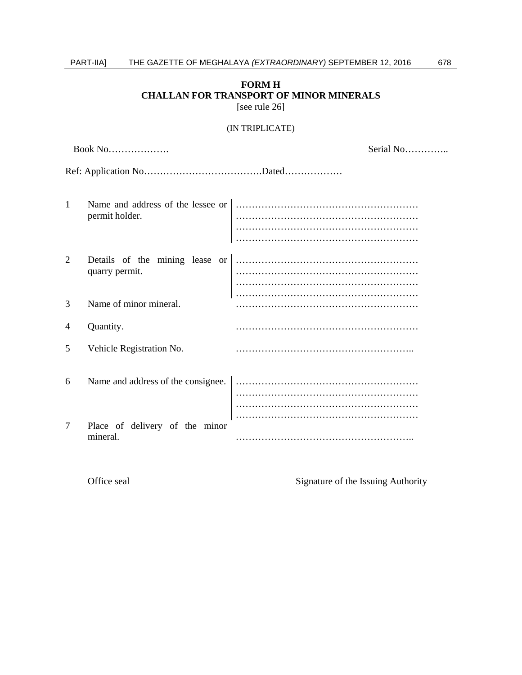## PART-IIA] THE GAZETTE OF MEGHALAYA (EXTRAORDINARY) SEPTEMBER 12, 2016 678

## **FORM H CHALLAN FOR TRANSPORT OF MINOR MINERALS**  [see rule 26]

#### (IN TRIPLICATE)

|                | Book No                                    | Serial No |
|----------------|--------------------------------------------|-----------|
|                |                                            |           |
| $\mathbf{1}$   | permit holder.                             |           |
| $\overline{2}$ | quarry permit.                             |           |
| 3              | Name of minor mineral.                     |           |
| 4              | Quantity.                                  |           |
| 5              | Vehicle Registration No.                   |           |
| 6              |                                            |           |
| $\overline{7}$ | Place of delivery of the minor<br>mineral. |           |

Office seal Signature of the Issuing Authority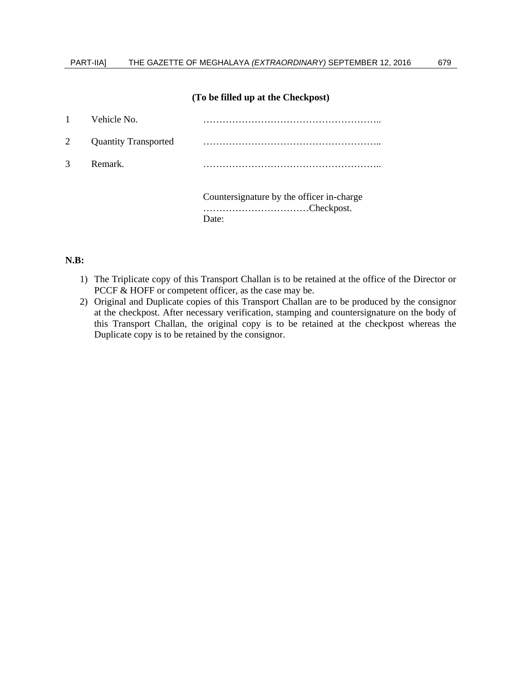#### **(To be filled up at the Checkpost)**

|               | Vehicle No.                 |                                                                  |
|---------------|-----------------------------|------------------------------------------------------------------|
| 2             | <b>Quantity Transported</b> |                                                                  |
| $\mathcal{R}$ | Remark.                     |                                                                  |
|               |                             | Countersignature by the officer in-charge<br>Checkpost.<br>)ate: |

## **N.B:**

- 1) The Triplicate copy of this Transport Challan is to be retained at the office of the Director or PCCF & HOFF or competent officer, as the case may be.
- 2) Original and Duplicate copies of this Transport Challan are to be produced by the consignor at the checkpost. After necessary verification, stamping and countersignature on the body of this Transport Challan, the original copy is to be retained at the checkpost whereas the Duplicate copy is to be retained by the consignor.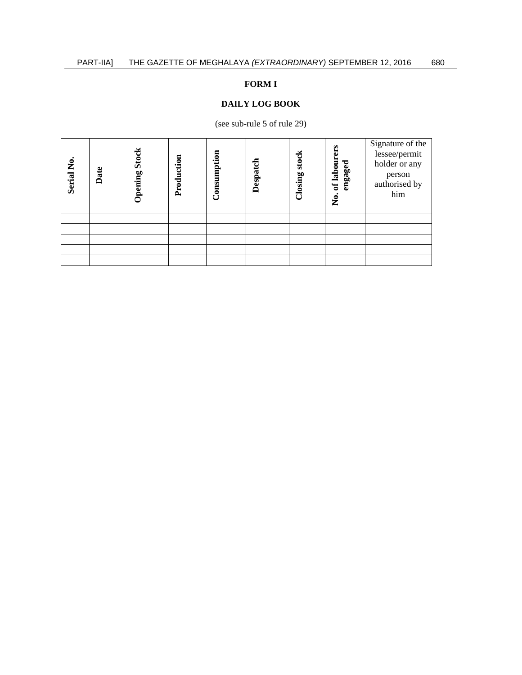### **FORM I**

### **DAILY LOG BOOK**

(see sub-rule 5 of rule 29)

| Serial No. | Date | <b>Stock</b><br>Opening | Production | Consumption | Despatch | stock<br>Closing s | of labourers<br>engaged<br>ż | Signature of the<br>lessee/permit<br>holder or any<br>person<br>authorised by<br>him |
|------------|------|-------------------------|------------|-------------|----------|--------------------|------------------------------|--------------------------------------------------------------------------------------|
|            |      |                         |            |             |          |                    |                              |                                                                                      |
|            |      |                         |            |             |          |                    |                              |                                                                                      |
|            |      |                         |            |             |          |                    |                              |                                                                                      |
|            |      |                         |            |             |          |                    |                              |                                                                                      |
|            |      |                         |            |             |          |                    |                              |                                                                                      |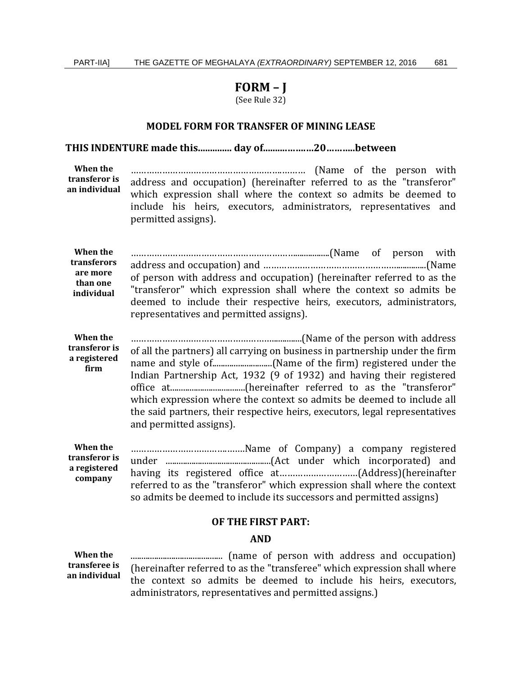## **FORM – J**

(See Rule 32)

#### **MODEL FORM FOR TRANSFER OF MINING LEASE**

#### **THIS INDENTURE made this.............. day of..........…….…20………..between**

**When the transferor is an individual** ………………………………………………….……… (Name of the person with address and occupation) (hereinafter referred to as the "transferor" which expression shall where the context so admits be deemed to include his heirs, executors, administrators, representatives and permitted assigns). **When the transferors are more than one individual** ………………………………………………………................(Name of person with address and occupation) and ……………………………………………..............(Name of person with address and occupation) (hereinafter referred to as the "transferor" which expression shall where the context so admits be deemed to include their respective heirs, executors, administrators, representatives and permitted assigns). **When the transferor is a registered firm** ………………………………………………..............(Name of the person with address of all the partners) all carrying on business in partnership under the firm name and style of............................(Name of the firm) registered under the Indian Partnership Act, 1932 (9 of 1932) and having their registered office at...................................(hereinafter referred to as the "transferor" which expression where the context so admits be deemed to include all the said partners, their respective heirs, executors, legal representatives and permitted assigns).

**When the transferor is a registered company** ……………………………….…….Name of Company) a company registered under .................................................(Act under which incorporated) and having its registered office at…………………………(Address)(hereinafter referred to as the "transferor" which expression shall where the context so admits be deemed to include its successors and permitted assigns)

#### **OF THE FIRST PART:**

#### **AND**

**When the transferee is an individual** ........................................... (name of person with address and occupation) (hereinafter referred to as the "transferee" which expression shall where the context so admits be deemed to include his heirs, executors, administrators, representatives and permitted assigns.)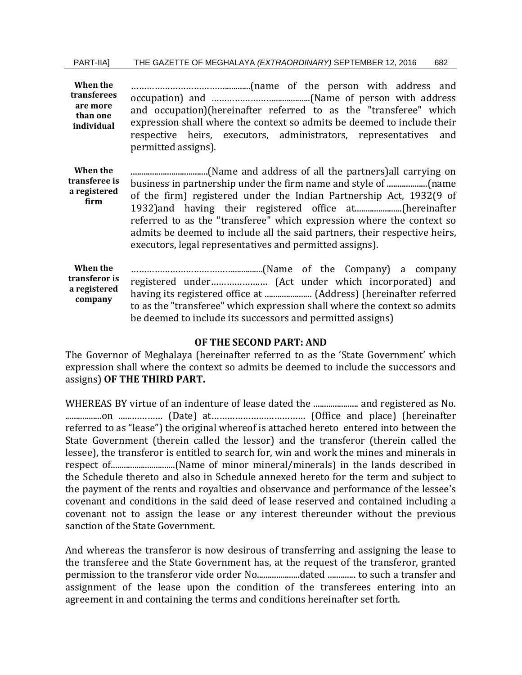**When the transferees are more than one individual** ………………………………............(name of the person with address and occupation) and …………………….................(Name of person with address and occupation)(hereinafter referred to as the "transferee" which expression shall where the context so admits be deemed to include their respective heirs, executors, administrators, representatives and permitted assigns).

**When the transferee is a registered firm** ....................................(Name and address of all the partners)all carrying on business in partnership under the firm name and style of ...................(name of the firm) registered under the Indian Partnership Act, 1932(9 of 1932)and having their registered office at......................(hereinafter referred to as the "transferee" which expression where the context so admits be deemed to include all the said partners, their respective heirs, executors, legal representatives and permitted assigns).

**When the transferor is a registered company** …………………………………..............(Name of the Company) a company registered under……………….… (Act under which incorporated) and having its registered office at ...................... (Address) (hereinafter referred to as the "transferee" which expression shall where the context so admits be deemed to include its successors and permitted assigns)

### **OF THE SECOND PART: AND**

The Governor of Meghalaya (hereinafter referred to as the 'State Government' which expression shall where the context so admits be deemed to include the successors and assigns) **OF THE THIRD PART.**

WHEREAS BY virtue of an indenture of lease dated the ............................ and registered as No. .................on ......………… (Date) at……………………………… (Office and place) (hereinafter referred to as "lease") the original whereof is attached hereto entered into between the State Government (therein called the lessor) and the transferor (therein called the lessee), the transferor is entitled to search for, win and work the mines and minerals in respect of..............................(Name of minor mineral/minerals) in the lands described in the Schedule thereto and also in Schedule annexed hereto for the term and subject to the payment of the rents and royalties and observance and performance of the lessee's covenant and conditions in the said deed of lease reserved and contained including a covenant not to assign the lease or any interest thereunder without the previous sanction of the State Government.

And whereas the transferor is now desirous of transferring and assigning the lease to the transferee and the State Government has, at the request of the transferor, granted permission to the transferor vide order No....................dated ............. to such a transfer and assignment of the lease upon the condition of the transferees entering into an agreement in and containing the terms and conditions hereinafter set forth.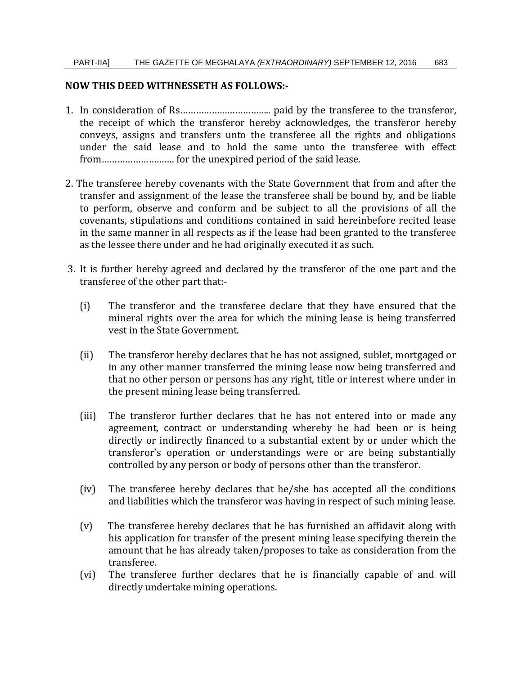#### **NOW THIS DEED WITHNESSETH AS FOLLOWS:**

- 1. In consideration of Rs…………………………….. paid by the transferee to the transferor, the receipt of which the transferor hereby acknowledges, the transferor hereby conveys, assigns and transfers unto the transferee all the rights and obligations under the said lease and to hold the same unto the transferee with effect from………………………. for the unexpired period of the said lease.
- 2. The transferee hereby covenants with the State Government that from and after the transfer and assignment of the lease the transferee shall be bound by, and be liable to perform, observe and conform and be subject to all the provisions of all the covenants, stipulations and conditions contained in said hereinbefore recited lease in the same manner in all respects as if the lease had been granted to the transferee as the lessee there under and he had originally executed it as such.
- 3. It is further hereby agreed and declared by the transferor of the one part and the transferee of the other part that:‐
	- (i) The transferor and the transferee declare that they have ensured that the mineral rights over the area for which the mining lease is being transferred vest in the State Government.
	- (ii) The transferor hereby declares that he has not assigned, sublet, mortgaged or in any other manner transferred the mining lease now being transferred and that no other person or persons has any right, title or interest where under in the present mining lease being transferred.
	- (iii) The transferor further declares that he has not entered into or made any agreement, contract or understanding whereby he had been or is being directly or indirectly financed to a substantial extent by or under which the transferor's operation or understandings were or are being substantially controlled by any person or body of persons other than the transferor.
	- $(iv)$  The transferee hereby declares that  $he/she$  has accepted all the conditions and liabilities which the transferor was having in respect of such mining lease.
	- (v) The transferee hereby declares that he has furnished an affidavit along with his application for transfer of the present mining lease specifying therein the amount that he has already taken/proposes to take as consideration from the transferee.
	- (vi) The transferee further declares that he is financially capable of and will directly undertake mining operations.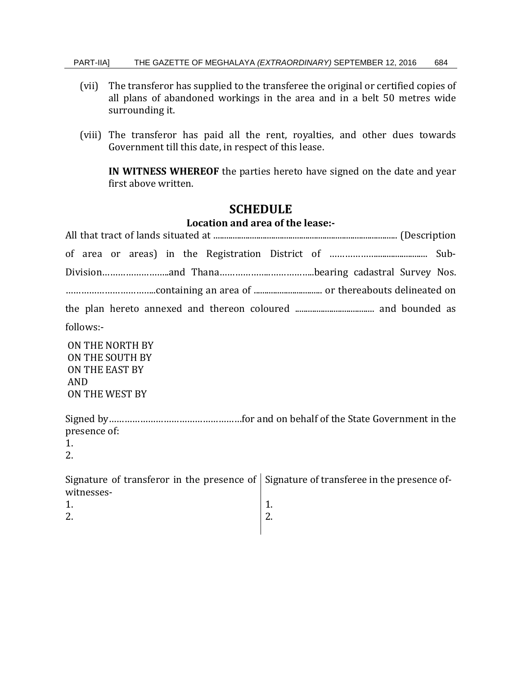- (vii) The transferor has supplied to the transferee the original or certified copies of all plans of abandoned workings in the area and in a belt 50 metres wide surrounding it.
- (viii) The transferor has paid all the rent, royalties, and other dues towards Government till this date, in respect of this lease.

**IN WITNESS WHEREOF** the parties hereto have signed on the date and year first above written.

# **SCHEDULE**

## **Location and area of the lease:**

| follows:-                                                                                                        |          |  |  |  |
|------------------------------------------------------------------------------------------------------------------|----------|--|--|--|
| ON THE NORTH BY<br>ON THE SOUTH BY<br>ON THE EAST BY<br><b>AND</b><br>ON THE WEST BY                             |          |  |  |  |
| presence of:<br>1.<br>2.                                                                                         |          |  |  |  |
| Signature of transferor in the presence of Signature of transferee in the presence of-<br>witnesses-<br>1.<br>2. | 1.<br>2. |  |  |  |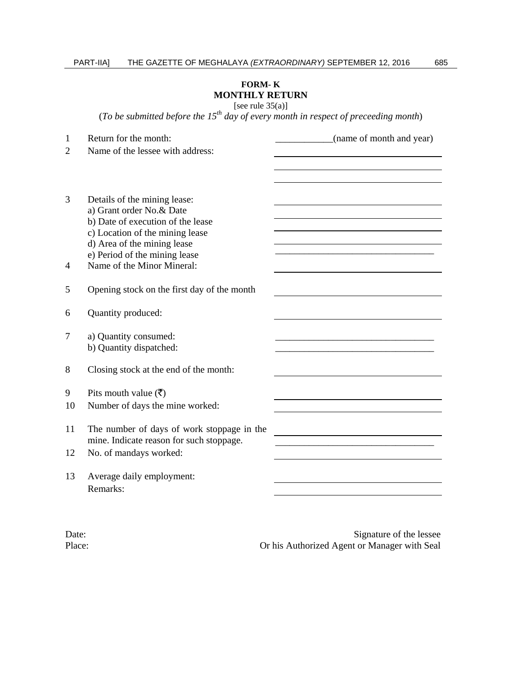### **FORM- K MONTHLY RETURN**

[see rule 35(a)]

(*To be submitted before the*  $15<sup>th</sup>$  *day of every month in respect of preceeding month*)

| $\mathbf{1}$   | Return for the month:                                                                  | (name of month and year) |
|----------------|----------------------------------------------------------------------------------------|--------------------------|
| $\overline{2}$ | Name of the lessee with address:                                                       |                          |
|                |                                                                                        |                          |
|                |                                                                                        |                          |
|                |                                                                                        |                          |
| 3              | Details of the mining lease:                                                           |                          |
|                | a) Grant order No.& Date                                                               |                          |
|                | b) Date of execution of the lease                                                      |                          |
|                | c) Location of the mining lease<br>d) Area of the mining lease                         |                          |
|                | e) Period of the mining lease                                                          |                          |
| 4              | Name of the Minor Mineral:                                                             |                          |
|                |                                                                                        |                          |
| 5              | Opening stock on the first day of the month                                            |                          |
|                |                                                                                        |                          |
| 6              | Quantity produced:                                                                     |                          |
| 7              | a) Quantity consumed:                                                                  |                          |
|                | b) Quantity dispatched:                                                                |                          |
|                |                                                                                        |                          |
| 8              | Closing stock at the end of the month:                                                 |                          |
|                |                                                                                        |                          |
| 9              | Pits mouth value $(\overline{\zeta})$                                                  |                          |
| 10             | Number of days the mine worked:                                                        |                          |
| 11             |                                                                                        |                          |
|                | The number of days of work stoppage in the<br>mine. Indicate reason for such stoppage. |                          |
| 12             | No. of mandays worked:                                                                 |                          |
|                |                                                                                        |                          |
| 13             | Average daily employment:                                                              |                          |
|                | Remarks:                                                                               |                          |
|                |                                                                                        |                          |
|                |                                                                                        |                          |

Date: Place:

Signature of the lessee Or his Authorized Agent or Manager with Seal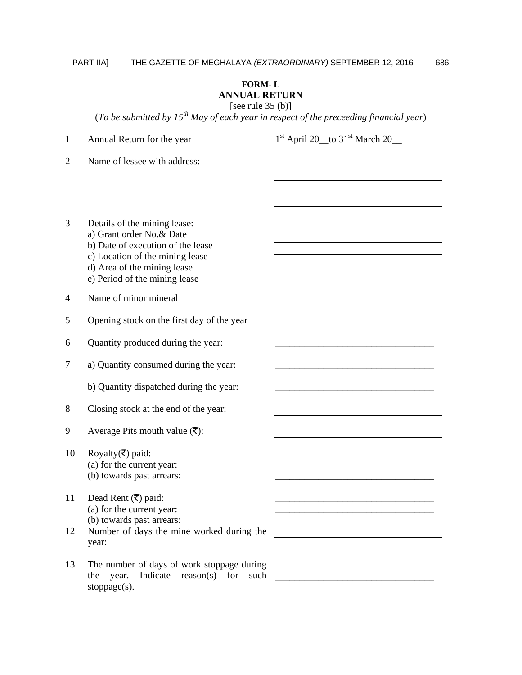## **FORM- L ANNUAL RETURN**

[see rule 35 (b)]

(*To be submitted by*  $15<sup>th</sup>$  *May of each year in respect of the preceeding financial year*)

| 1  | Annual Return for the year                                                                                                                                                                       | 1 <sup>st</sup> April 20_to 31 <sup>st</sup> March 20_ |
|----|--------------------------------------------------------------------------------------------------------------------------------------------------------------------------------------------------|--------------------------------------------------------|
| 2  | Name of lessee with address:                                                                                                                                                                     |                                                        |
|    |                                                                                                                                                                                                  |                                                        |
|    |                                                                                                                                                                                                  |                                                        |
| 3  | Details of the mining lease:<br>a) Grant order No.& Date<br>b) Date of execution of the lease<br>c) Location of the mining lease<br>d) Area of the mining lease<br>e) Period of the mining lease |                                                        |
| 4  | Name of minor mineral                                                                                                                                                                            |                                                        |
| 5  | Opening stock on the first day of the year                                                                                                                                                       |                                                        |
| 6  | Quantity produced during the year:                                                                                                                                                               |                                                        |
| 7  | a) Quantity consumed during the year:                                                                                                                                                            |                                                        |
|    | b) Quantity dispatched during the year:                                                                                                                                                          |                                                        |
| 8  | Closing stock at the end of the year:                                                                                                                                                            |                                                        |
| 9  | Average Pits mouth value $(\overline{\mathbf{\overline{z}}})$ :                                                                                                                                  |                                                        |
| 10 | Royalty $(\overline{\mathbf{\zeta}})$ paid:<br>(a) for the current year:<br>(b) towards past arrears:                                                                                            |                                                        |
| 11 | Dead Rent $(\overline{\mathbf{x}})$ paid:<br>(a) for the current year:<br>(b) towards past arrears:                                                                                              |                                                        |
| 12 | Number of days the mine worked during the<br>year:                                                                                                                                               |                                                        |
| 13 | The number of days of work stoppage during<br>Indicate<br>reason(s)<br>year.<br>for<br>such<br>the<br>stoppage(s).                                                                               |                                                        |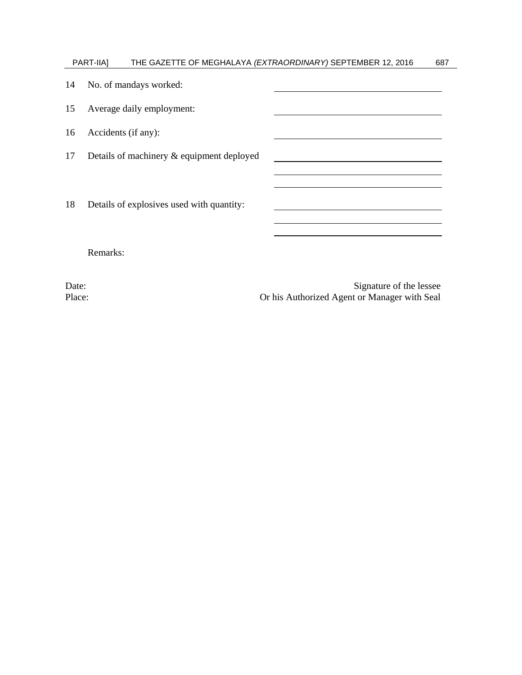|  | PART-IIAI | THE GAZETTE OF MEGHALAYA (EXTRAORDINARY) SEPTEMBER 12, 2016 | 687 |
|--|-----------|-------------------------------------------------------------|-----|
|--|-----------|-------------------------------------------------------------|-----|

| 14 | No. of mandays worked:                    |  |
|----|-------------------------------------------|--|
| 15 | Average daily employment:                 |  |
| 16 | Accidents (if any):                       |  |
| 17 | Details of machinery & equipment deployed |  |
|    |                                           |  |
|    |                                           |  |
| 18 | Details of explosives used with quantity: |  |
|    |                                           |  |
|    | Remarks:                                  |  |

Date: Place:

Signature of the lessee Or his Authorized Agent or Manager with Seal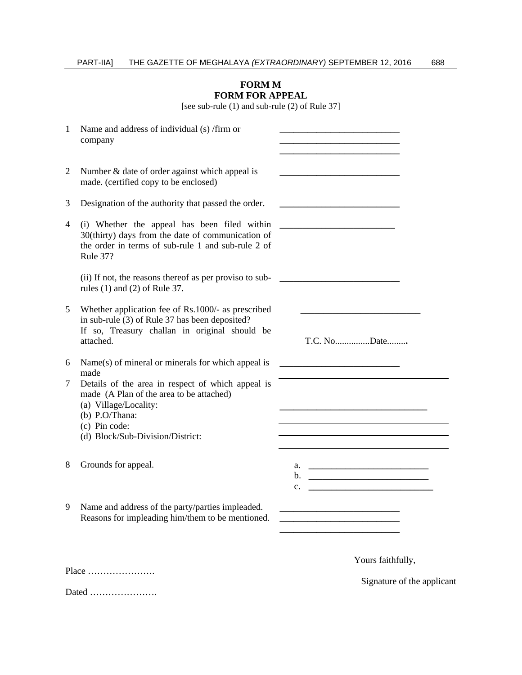### **FORM M FORM FOR APPEAL**

[see sub-rule (1) and sub-rule (2) of Rule 37]

| 1      | Name and address of individual (s) /firm or<br>company                                                                                                                                                                                                      | <u> 1989 - Johann Barbara, martin amerikan basar dan berasal dalam basar dalam basar dalam basar dalam basar dala</u>                                                               |
|--------|-------------------------------------------------------------------------------------------------------------------------------------------------------------------------------------------------------------------------------------------------------------|-------------------------------------------------------------------------------------------------------------------------------------------------------------------------------------|
| 2      | Number $\&$ date of order against which appeal is<br>made. (certified copy to be enclosed)                                                                                                                                                                  |                                                                                                                                                                                     |
| 3      | Designation of the authority that passed the order.                                                                                                                                                                                                         |                                                                                                                                                                                     |
| 4      | (i) Whether the appeal has been filed within<br>30(thirty) days from the date of communication of<br>the order in terms of sub-rule 1 and sub-rule 2 of<br>Rule 37?                                                                                         |                                                                                                                                                                                     |
|        | (ii) If not, the reasons thereof as per proviso to sub-<br>rules $(1)$ and $(2)$ of Rule 37.                                                                                                                                                                |                                                                                                                                                                                     |
| 5      | Whether application fee of Rs.1000/- as prescribed<br>in sub-rule (3) of Rule 37 has been deposited?<br>If so, Treasury challan in original should be<br>attached.                                                                                          | T.C. NoDate                                                                                                                                                                         |
| 6<br>7 | Name(s) of mineral or minerals for which appeal is<br>made<br>Details of the area in respect of which appeal is<br>made (A Plan of the area to be attached)<br>(a) Village/Locality:<br>(b) P.O/Thana:<br>(c) Pin code:<br>(d) Block/Sub-Division/District: | <u> 1989 - Johann Barn, mars ann an t-Amhair ann an t-A</u><br><u> 1980 - Johann Barn, amerikan besteman besteman besteman besteman besteman besteman besteman besteman bestema</u> |
| 8      | Grounds for appeal.                                                                                                                                                                                                                                         | $\mathbf{c}$ .                                                                                                                                                                      |
|        | 9 Name and address of the party/parties impleaded.<br>Reasons for impleading him/them to be mentioned.                                                                                                                                                      |                                                                                                                                                                                     |
|        |                                                                                                                                                                                                                                                             | Yours faithfully,                                                                                                                                                                   |
|        |                                                                                                                                                                                                                                                             |                                                                                                                                                                                     |

Dated ………………….

Signature of the applicant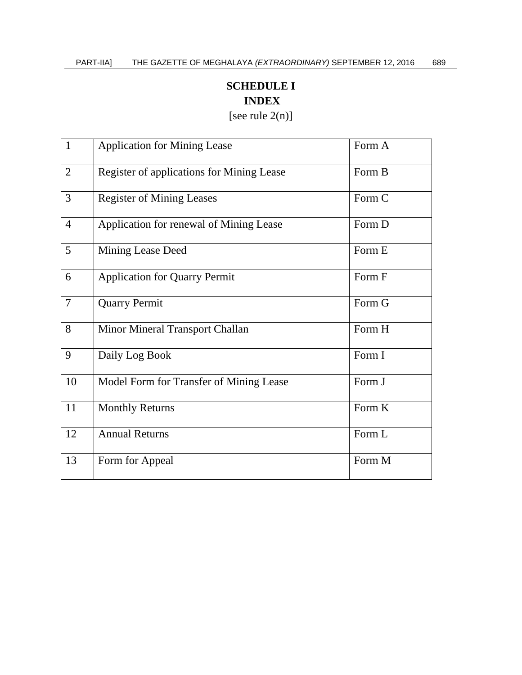# **SCHEDULE I INDEX**

[see rule 2(n)]

| $\mathbf{1}$   | <b>Application for Mining Lease</b>       | Form A |
|----------------|-------------------------------------------|--------|
| $\overline{2}$ | Register of applications for Mining Lease | Form B |
| 3              | <b>Register of Mining Leases</b>          | Form C |
| $\overline{4}$ | Application for renewal of Mining Lease   | Form D |
| 5              | Mining Lease Deed                         | Form E |
| 6              | <b>Application for Quarry Permit</b>      | Form F |
| $\overline{7}$ | <b>Quarry Permit</b>                      | Form G |
| 8              | Minor Mineral Transport Challan           | Form H |
| 9              | Daily Log Book                            | Form I |
| 10             | Model Form for Transfer of Mining Lease   | Form J |
| 11             | <b>Monthly Returns</b>                    | Form K |
| 12             | <b>Annual Returns</b>                     | Form L |
| 13             | Form for Appeal                           | Form M |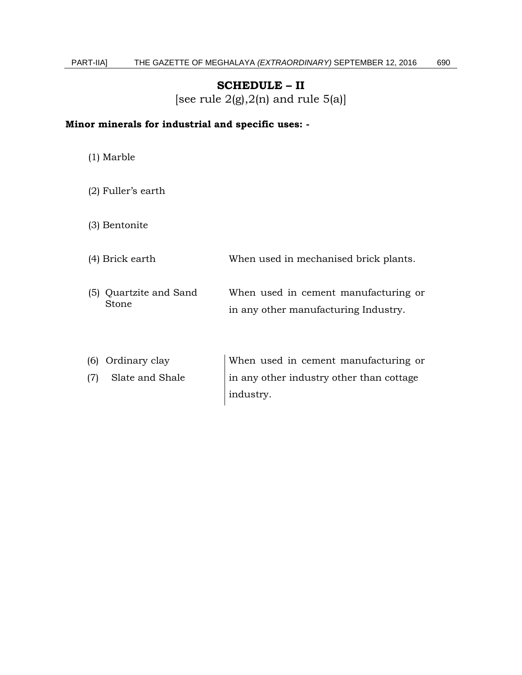### **SCHEDULE – II**

[see rule  $2(g)$ , $2(h)$  and rule  $5(a)$ ]

#### **Minor minerals for industrial and specific uses: -**

(1) Marble

- (2) Fuller's earth
- (3) Bentonite
- (4) Brick earth When used in mechanised brick plants.
- (5) Quartzite and Sand Stone When used in cement manufacturing or in any other manufacturing Industry.
- (6) Ordinary clay When used in cement manufacturing or in any other industry other than cottage industry. (7) Slate and Shale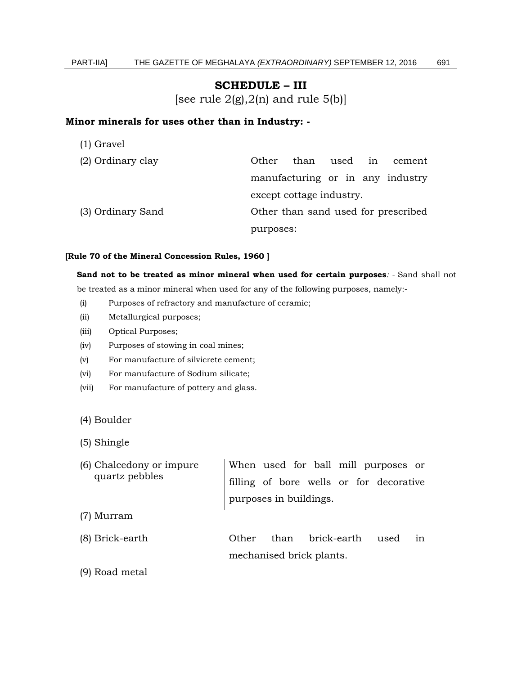### **SCHEDULE – III**

[see rule  $2(g)$ , $2(h)$  and rule  $5(b)$ ]

#### **Minor minerals for uses other than in Industry: -**

| $(1)$ Gravel      |                                     |  |           |    |                                  |
|-------------------|-------------------------------------|--|-----------|----|----------------------------------|
| (2) Ordinary clay | Other                               |  | than used | in | cement                           |
|                   |                                     |  |           |    | manufacturing or in any industry |
|                   | except cottage industry.            |  |           |    |                                  |
| (3) Ordinary Sand | Other than sand used for prescribed |  |           |    |                                  |
|                   | purposes:                           |  |           |    |                                  |

#### **[Rule 70 of the Mineral Concession Rules, 1960 ]**

**Sand not to be treated as minor mineral when used for certain purposes***: -* Sand shall not be treated as a minor mineral when used for any of the following purposes, namely:-

- (i) Purposes of refractory and manufacture of ceramic;
- (ii) Metallurgical purposes;
- (iii) Optical Purposes;
- (iv) Purposes of stowing in coal mines;
- (v) For manufacture of silvicrete cement;
- (vi) For manufacture of Sodium silicate;
- (vii) For manufacture of pottery and glass.

#### (4) Boulder

- (5) Shingle
- (6) Chalcedony or impure quartz pebbles When used for ball mill purposes or filling of bore wells or for decorative purposes in buildings.
- (7) Murram
- (8) Brick-earth Other than brick-earth used in mechanised brick plants.
- (9) Road metal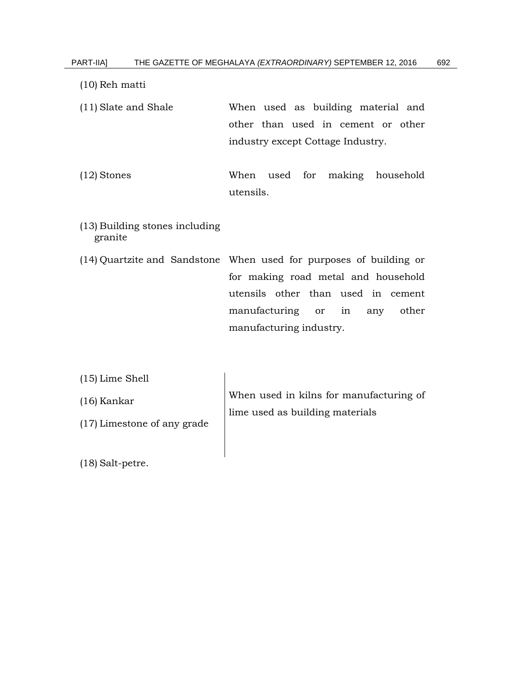- (10) Reh matti
- (11) Slate and Shale When used as building material and other than used in cement or other industry except Cottage Industry.
- (12) Stones When used for making household utensils.
- (13) Building stones including granite
- (14) Quartzite and Sandstone When used for purposes of building or for making road metal and household utensils other than used in cement manufacturing or in any other manufacturing industry.

| $(15)$ Lime Shell           |                                         |  |
|-----------------------------|-----------------------------------------|--|
| $(16)$ Kankar               | When used in kilns for manufacturing of |  |
| (17) Limestone of any grade | lime used as building materials         |  |
|                             |                                         |  |

(18) Salt-petre.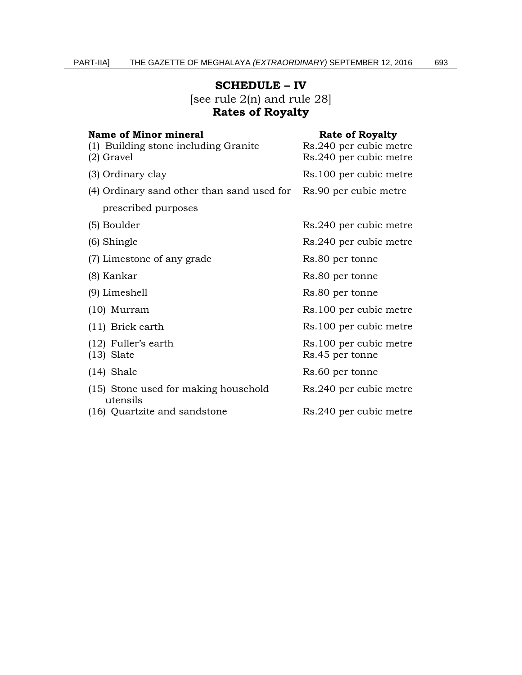## **SCHEDULE – IV**

[see rule 2(n) and rule 28] **Rates of Royalty**

| Name of Minor mineral                                | <b>Rate of Royalty</b>                           |  |  |
|------------------------------------------------------|--------------------------------------------------|--|--|
| (1) Building stone including Granite<br>$(2)$ Gravel | Rs.240 per cubic metre<br>Rs.240 per cubic metre |  |  |
| (3) Ordinary clay                                    | Rs.100 per cubic metre                           |  |  |
| (4) Ordinary sand other than sand used for           | Rs.90 per cubic metre                            |  |  |
| prescribed purposes                                  |                                                  |  |  |
| (5) Boulder                                          | Rs.240 per cubic metre                           |  |  |
| (6) Shingle                                          | Rs.240 per cubic metre                           |  |  |
| (7) Limestone of any grade                           | Rs.80 per tonne                                  |  |  |
| (8) Kankar                                           | Rs.80 per tonne                                  |  |  |
| (9) Limeshell                                        | Rs.80 per tonne                                  |  |  |
| $(10)$ Murram                                        | Rs.100 per cubic metre                           |  |  |
| $(11)$ Brick earth                                   | Rs.100 per cubic metre                           |  |  |
| $(12)$ Fuller's earth<br>$(13)$ Slate                | Rs.100 per cubic metre<br>Rs.45 per tonne        |  |  |
| $(14)$ Shale                                         | Rs.60 per tonne                                  |  |  |
| (15) Stone used for making household<br>utensils     | Rs.240 per cubic metre                           |  |  |
| (16) Quartzite and sandstone                         | Rs.240 per cubic metre                           |  |  |